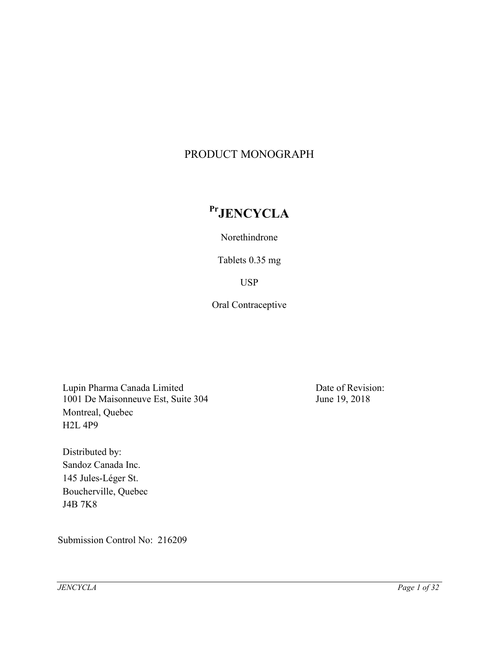# PRODUCT MONOGRAPH

# **PrJENCYCLA**

Norethindrone

Tablets 0.35 mg

USP

Oral Contraceptive

Lupin Pharma Canada Limited 1001 De Maisonneuve Est, Suite 304 Montreal, Quebec H2L 4P9

Distributed by: Sandoz Canada Inc. 145 Jules-Léger St. Boucherville, Quebec J4B 7K8

Submission Control No: 216209

Date of Revision: June 19, 2018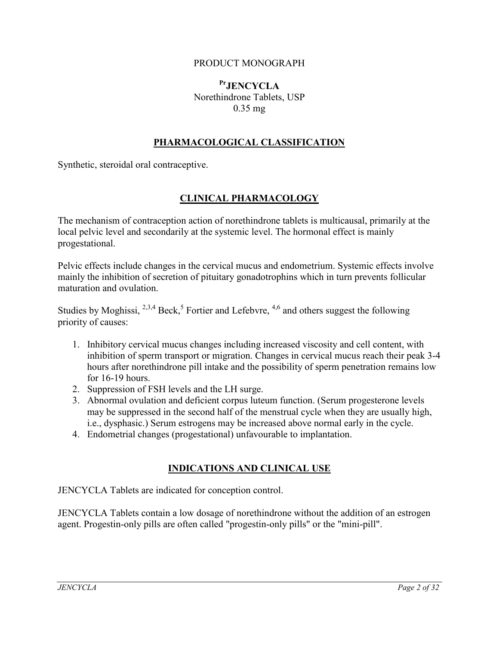### PRODUCT MONOGRAPH

# **PrJENCYCLA** Norethindrone Tablets, USP 0.35 mg

# **PHARMACOLOGICAL CLASSIFICATION**

Synthetic, steroidal oral contraceptive.

## **CLINICAL PHARMACOLOGY**

The mechanism of contraception action of norethindrone tablets is multicausal, primarily at the local pelvic level and secondarily at the systemic level. The hormonal effect is mainly progestational.

Pelvic effects include changes in the cervical mucus and endometrium. Systemic effects involve mainly the inhibition of secretion of pituitary gonadotrophins which in turn prevents follicular maturation and ovulation.

Studies by Moghissi,  $^{2,3,4}$  Beck,<sup>5</sup> Fortier and Lefebvre,  $^{4,6}$  and others suggest the following priority of causes:

- 1. Inhibitory cervical mucus changes including increased viscosity and cell content, with inhibition of sperm transport or migration. Changes in cervical mucus reach their peak 3-4 hours after norethindrone pill intake and the possibility of sperm penetration remains low for 16-19 hours.
- 2. Suppression of FSH levels and the LH surge.
- 3. Abnormal ovulation and deficient corpus luteum function. (Serum progesterone levels may be suppressed in the second half of the menstrual cycle when they are usually high, i.e., dysphasic.) Serum estrogens may be increased above normal early in the cycle.
- 4. Endometrial changes (progestational) unfavourable to implantation.

### **INDICATIONS AND CLINICAL USE**

JENCYCLA Tablets are indicated for conception control.

JENCYCLA Tablets contain a low dosage of norethindrone without the addition of an estrogen agent. Progestin-only pills are often called "progestin-only pills" or the "mini-pill".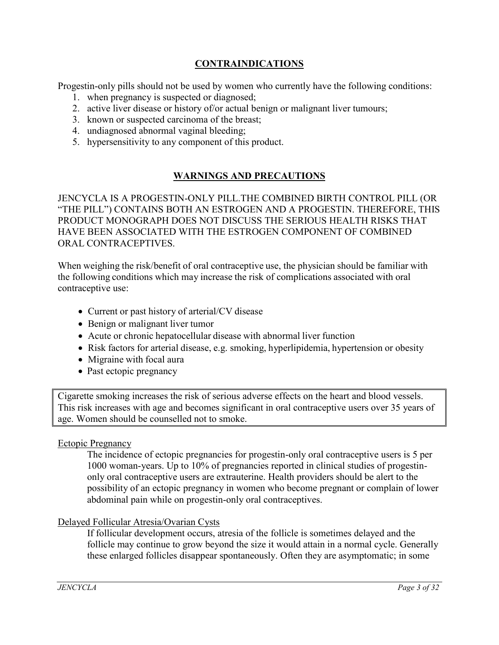# **CONTRAINDICATIONS**

Progestin-only pills should not be used by women who currently have the following conditions:

- 1. when pregnancy is suspected or diagnosed;
- 2. active liver disease or history of/or actual benign or malignant liver tumours;
- 3. known or suspected carcinoma of the breast;
- 4. undiagnosed abnormal vaginal bleeding;
- 5. hypersensitivity to any component of this product.

# **WARNINGS AND PRECAUTIONS**

JENCYCLA IS A PROGESTIN-ONLY PILL.THE COMBINED BIRTH CONTROL PILL (OR "THE PILL") CONTAINS BOTH AN ESTROGEN AND A PROGESTIN. THEREFORE, THIS PRODUCT MONOGRAPH DOES NOT DISCUSS THE SERIOUS HEALTH RISKS THAT HAVE BEEN ASSOCIATED WITH THE ESTROGEN COMPONENT OF COMBINED ORAL CONTRACEPTIVES.

When weighing the risk/benefit of oral contraceptive use, the physician should be familiar with the following conditions which may increase the risk of complications associated with oral contraceptive use:

- Current or past history of arterial/CV disease
- Benign or malignant liver tumor
- Acute or chronic hepatocellular disease with abnormal liver function
- Risk factors for arterial disease, e.g. smoking, hyperlipidemia, hypertension or obesity
- Migraine with focal aura
- Past ectopic pregnancy

Cigarette smoking increases the risk of serious adverse effects on the heart and blood vessels. This risk increases with age and becomes significant in oral contraceptive users over 35 years of age. Women should be counselled not to smoke.

### Ectopic Pregnancy

The incidence of ectopic pregnancies for progestin-only oral contraceptive users is 5 per 1000 woman-years. Up to 10% of pregnancies reported in clinical studies of progestinonly oral contraceptive users are extrauterine. Health providers should be alert to the possibility of an ectopic pregnancy in women who become pregnant or complain of lower abdominal pain while on progestin-only oral contraceptives.

### Delayed Follicular Atresia/Ovarian Cysts

If follicular development occurs, atresia of the follicle is sometimes delayed and the follicle may continue to grow beyond the size it would attain in a normal cycle. Generally these enlarged follicles disappear spontaneously. Often they are asymptomatic; in some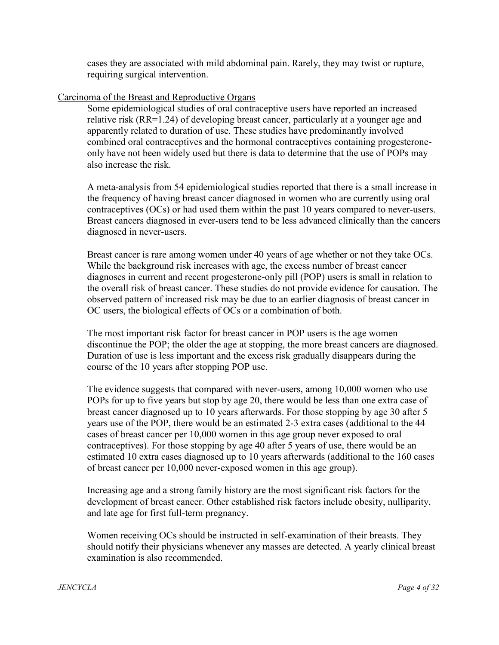cases they are associated with mild abdominal pain. Rarely, they may twist or rupture, requiring surgical intervention.

# Carcinoma of the Breast and Reproductive Organs

Some epidemiological studies of oral contraceptive users have reported an increased relative risk (RR=1.24) of developing breast cancer, particularly at a younger age and apparently related to duration of use. These studies have predominantly involved combined oral contraceptives and the hormonal contraceptives containing progesteroneonly have not been widely used but there is data to determine that the use of POPs may also increase the risk.

A meta-analysis from 54 epidemiological studies reported that there is a small increase in the frequency of having breast cancer diagnosed in women who are currently using oral contraceptives (OCs) or had used them within the past 10 years compared to never-users. Breast cancers diagnosed in ever-users tend to be less advanced clinically than the cancers diagnosed in never-users.

Breast cancer is rare among women under 40 years of age whether or not they take OCs. While the background risk increases with age, the excess number of breast cancer diagnoses in current and recent progesterone-only pill (POP) users is small in relation to the overall risk of breast cancer. These studies do not provide evidence for causation. The observed pattern of increased risk may be due to an earlier diagnosis of breast cancer in OC users, the biological effects of OCs or a combination of both.

The most important risk factor for breast cancer in POP users is the age women discontinue the POP; the older the age at stopping, the more breast cancers are diagnosed. Duration of use is less important and the excess risk gradually disappears during the course of the 10 years after stopping POP use.

The evidence suggests that compared with never-users, among 10,000 women who use POPs for up to five years but stop by age 20, there would be less than one extra case of breast cancer diagnosed up to 10 years afterwards. For those stopping by age 30 after 5 years use of the POP, there would be an estimated 2-3 extra cases (additional to the 44 cases of breast cancer per 10,000 women in this age group never exposed to oral contraceptives). For those stopping by age 40 after 5 years of use, there would be an estimated 10 extra cases diagnosed up to 10 years afterwards (additional to the 160 cases of breast cancer per 10,000 never-exposed women in this age group).

Increasing age and a strong family history are the most significant risk factors for the development of breast cancer. Other established risk factors include obesity, nulliparity, and late age for first full-term pregnancy.

Women receiving OCs should be instructed in self-examination of their breasts. They should notify their physicians whenever any masses are detected. A yearly clinical breast examination is also recommended.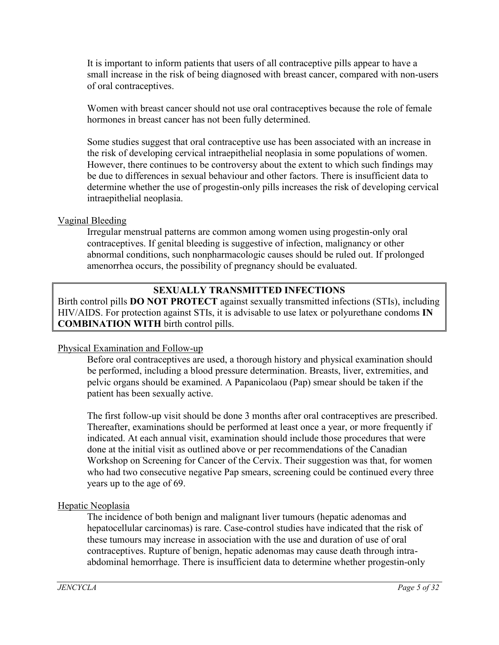It is important to inform patients that users of all contraceptive pills appear to have a small increase in the risk of being diagnosed with breast cancer, compared with non-users of oral contraceptives.

Women with breast cancer should not use oral contraceptives because the role of female hormones in breast cancer has not been fully determined.

Some studies suggest that oral contraceptive use has been associated with an increase in the risk of developing cervical intraepithelial neoplasia in some populations of women. However, there continues to be controversy about the extent to which such findings may be due to differences in sexual behaviour and other factors. There is insufficient data to determine whether the use of progestin-only pills increases the risk of developing cervical intraepithelial neoplasia.

### Vaginal Bleeding

Irregular menstrual patterns are common among women using progestin-only oral contraceptives. If genital bleeding is suggestive of infection, malignancy or other abnormal conditions, such nonpharmacologic causes should be ruled out. If prolonged amenorrhea occurs, the possibility of pregnancy should be evaluated.

# **SEXUALLY TRANSMITTED INFECTIONS**

Birth control pills **DO NOT PROTECT** against sexually transmitted infections (STIs), including HIV/AIDS. For protection against STIs, it is advisable to use latex or polyurethane condoms **IN COMBINATION WITH** birth control pills.

### Physical Examination and Follow-up

Before oral contraceptives are used, a thorough history and physical examination should be performed, including a blood pressure determination. Breasts, liver, extremities, and pelvic organs should be examined. A Papanicolaou (Pap) smear should be taken if the patient has been sexually active.

The first follow-up visit should be done 3 months after oral contraceptives are prescribed. Thereafter, examinations should be performed at least once a year, or more frequently if indicated. At each annual visit, examination should include those procedures that were done at the initial visit as outlined above or per recommendations of the Canadian Workshop on Screening for Cancer of the Cervix. Their suggestion was that, for women who had two consecutive negative Pap smears, screening could be continued every three years up to the age of 69.

# Hepatic Neoplasia

The incidence of both benign and malignant liver tumours (hepatic adenomas and hepatocellular carcinomas) is rare. Case-control studies have indicated that the risk of these tumours may increase in association with the use and duration of use of oral contraceptives. Rupture of benign, hepatic adenomas may cause death through intraabdominal hemorrhage. There is insufficient data to determine whether progestin-only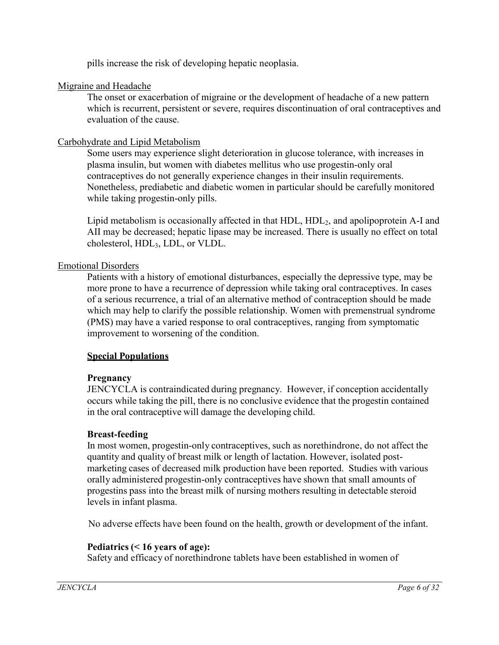pills increase the risk of developing hepatic neoplasia.

## Migraine and Headache

The onset or exacerbation of migraine or the development of headache of a new pattern which is recurrent, persistent or severe, requires discontinuation of oral contraceptives and evaluation of the cause.

# Carbohydrate and Lipid Metabolism

Some users may experience slight deterioration in glucose tolerance, with increases in plasma insulin, but women with diabetes mellitus who use progestin-only oral contraceptives do not generally experience changes in their insulin requirements. Nonetheless, prediabetic and diabetic women in particular should be carefully monitored while taking progestin-only pills.

Lipid metabolism is occasionally affected in that  $HDL$ ,  $HDL<sub>2</sub>$ , and apolipoprotein A-I and AII may be decreased; hepatic lipase may be increased. There is usually no effect on total cholesterol, HDL3, LDL, or VLDL.

## Emotional Disorders

Patients with a history of emotional disturbances, especially the depressive type, may be more prone to have a recurrence of depression while taking oral contraceptives. In cases of a serious recurrence, a trial of an alternative method of contraception should be made which may help to clarify the possible relationship. Women with premenstrual syndrome (PMS) may have a varied response to oral contraceptives, ranging from symptomatic improvement to worsening of the condition.

# **Special Populations**

# **Pregnancy**

JENCYCLA is contraindicated during pregnancy. However, if conception accidentally occurs while taking the pill, there is no conclusive evidence that the progestin contained in the oral contraceptive will damage the developing child.

### **Breast-feeding**

In most women, progestin-only contraceptives, such as norethindrone, do not affect the quantity and quality of breast milk or length of lactation. However, isolated postmarketing cases of decreased milk production have been reported. Studies with various orally administered progestin-only contraceptives have shown that small amounts of progestins pass into the breast milk of nursing mothers resulting in detectable steroid levels in infant plasma.

No adverse effects have been found on the health, growth or development of the infant.

# **Pediatrics (< 16 years of age):**

Safety and efficacy of norethindrone tablets have been established in women of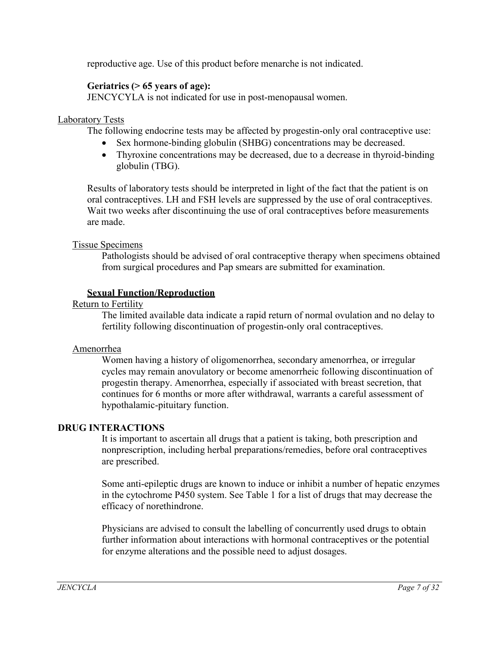reproductive age. Use of this product before menarche is not indicated.

### **Geriatrics (> 65 years of age):**

JENCYCYLA is not indicated for use in post-menopausal women.

### Laboratory Tests

The following endocrine tests may be affected by progestin-only oral contraceptive use:

- Sex hormone-binding globulin (SHBG) concentrations may be decreased.
- Thyroxine concentrations may be decreased, due to a decrease in thyroid-binding globulin (TBG).

Results of laboratory tests should be interpreted in light of the fact that the patient is on oral contraceptives. LH and FSH levels are suppressed by the use of oral contraceptives. Wait two weeks after discontinuing the use of oral contraceptives before measurements are made.

### Tissue Specimens

Pathologists should be advised of oral contraceptive therapy when specimens obtained from surgical procedures and Pap smears are submitted for examination.

### **Sexual Function/Reproduction**

Return to Fertility

The limited available data indicate a rapid return of normal ovulation and no delay to fertility following discontinuation of progestin-only oral contraceptives.

### Amenorrhea

Women having a history of oligomenorrhea, secondary amenorrhea, or irregular cycles may remain anovulatory or become amenorrheic following discontinuation of progestin therapy. Amenorrhea, especially if associated with breast secretion, that continues for 6 months or more after withdrawal, warrants a careful assessment of hypothalamic-pituitary function.

### **DRUG INTERACTIONS**

It is important to ascertain all drugs that a patient is taking, both prescription and nonprescription, including herbal preparations/remedies, before oral contraceptives are prescribed.

Some anti-epileptic drugs are known to induce or inhibit a number of hepatic enzymes in the cytochrome P450 system. See Table 1 for a list of drugs that may decrease the efficacy of norethindrone.

Physicians are advised to consult the labelling of concurrently used drugs to obtain further information about interactions with hormonal contraceptives or the potential for enzyme alterations and the possible need to adjust dosages.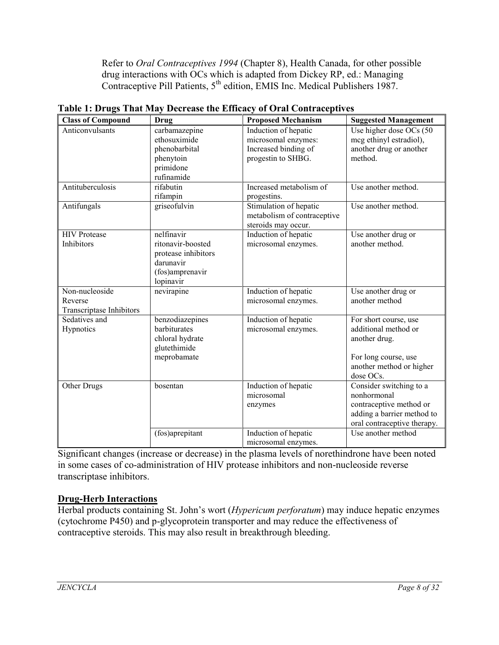Refer to *Oral Contraceptives 1994* (Chapter 8), Health Canada, for other possible drug interactions with OCs which is adapted from Dickey RP, ed.: Managing Contraceptive Pill Patients, 5<sup>th</sup> edition, EMIS Inc. Medical Publishers 1987.

| <b>Class of Compound</b>        | <b>Drug</b>         | <b>Proposed Mechanism</b>   | <b>Suggested Management</b>                       |
|---------------------------------|---------------------|-----------------------------|---------------------------------------------------|
| Anticonvulsants                 | carbamazepine       | Induction of hepatic        | Use higher dose OCs (50                           |
|                                 | ethosuximide        | microsomal enzymes:         | meg ethinyl estradiol),                           |
|                                 | phenobarbital       | Increased binding of        | another drug or another                           |
|                                 | phenytoin           | progestin to SHBG.          | method.                                           |
|                                 | primidone           |                             |                                                   |
|                                 | rufinamide          |                             |                                                   |
| Antituberculosis                | rifabutin           | Increased metabolism of     | Use another method.                               |
|                                 | rifampin            | progestins.                 |                                                   |
| Antifungals                     | griseofulvin        | Stimulation of hepatic      | Use another method.                               |
|                                 |                     | metabolism of contraceptive |                                                   |
|                                 |                     | steroids may occur.         |                                                   |
| <b>HIV</b> Protease             | nelfinavir          | Induction of hepatic        | Use another drug or                               |
| Inhibitors                      | ritonavir-boosted   | microsomal enzymes.         | another method.                                   |
|                                 | protease inhibitors |                             |                                                   |
|                                 | darunavir           |                             |                                                   |
|                                 | (fos)amprenavir     |                             |                                                   |
|                                 | lopinavir           |                             |                                                   |
| Non-nucleoside                  | nevirapine          | Induction of hepatic        | Use another drug or                               |
| Reverse                         |                     | microsomal enzymes.         | another method                                    |
| <b>Transcriptase Inhibitors</b> |                     |                             |                                                   |
| Sedatives and                   | benzodiazepines     | Induction of hepatic        | For short course, use                             |
| Hypnotics                       | barbiturates        | microsomal enzymes.         | additional method or                              |
|                                 | chloral hydrate     |                             | another drug.                                     |
|                                 | glutethimide        |                             |                                                   |
|                                 | meprobamate         |                             | For long course, use                              |
|                                 |                     |                             | another method or higher                          |
|                                 |                     |                             | dose OCs.                                         |
| Other Drugs                     | bosentan            | Induction of hepatic        | Consider switching to a                           |
|                                 |                     | microsomal                  | nonhormonal                                       |
|                                 |                     | enzymes                     | contraceptive method or                           |
|                                 |                     |                             | adding a barrier method to                        |
|                                 |                     |                             | oral contraceptive therapy.<br>Use another method |
|                                 | (fos)aprepitant     | Induction of hepatic        |                                                   |
|                                 |                     | microsomal enzymes.         |                                                   |

**Table 1: Drugs That May Decrease the Efficacy of Oral Contraceptives**

Significant changes (increase or decrease) in the plasma levels of norethindrone have been noted in some cases of co-administration of HIV protease inhibitors and non-nucleoside reverse transcriptase inhibitors.

# **Drug-Herb Interactions**

Herbal products containing St. John's wort (*Hypericum perforatum*) may induce hepatic enzymes (cytochrome P450) and p-glycoprotein transporter and may reduce the effectiveness of contraceptive steroids. This may also result in breakthrough bleeding.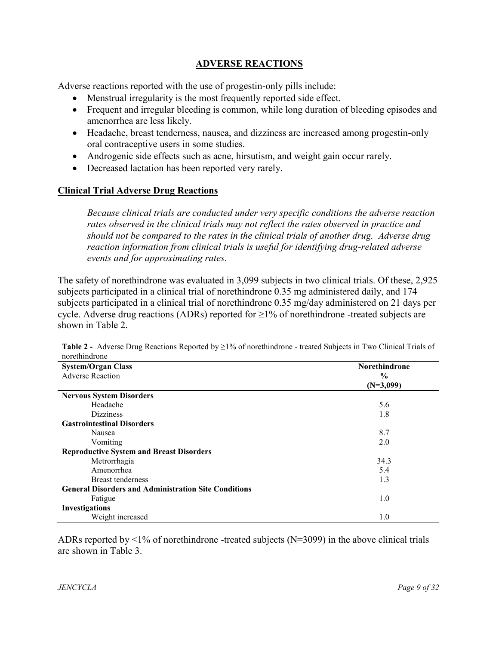# **ADVERSE REACTIONS**

Adverse reactions reported with the use of progestin-only pills include:

- Menstrual irregularity is the most frequently reported side effect.
- Frequent and irregular bleeding is common, while long duration of bleeding episodes and amenorrhea are less likely.
- Headache, breast tenderness, nausea, and dizziness are increased among progestin-only oral contraceptive users in some studies.
- Androgenic side effects such as acne, hirsutism, and weight gain occur rarely.
- Decreased lactation has been reported very rarely.

## **Clinical Trial Adverse Drug Reactions**

*Because clinical trials are conducted under very specific conditions the adverse reaction rates observed in the clinical trials may not reflect the rates observed in practice and should not be compared to the rates in the clinical trials of another drug. Adverse drug reaction information from clinical trials is useful for identifying drug-related adverse events and for approximating rates*.

The safety of norethindrone was evaluated in 3,099 subjects in two clinical trials. Of these, 2,925 subjects participated in a clinical trial of norethindrone 0.35 mg administered daily, and 174 subjects participated in a clinical trial of norethindrone 0.35 mg/day administered on 21 days per cycle. Adverse drug reactions (ADRs) reported for  $\geq$ 1% of norethindrone -treated subjects are shown in Table 2.

| <b>System/Organ Class</b>                                   | <b>Norethindrone</b> |
|-------------------------------------------------------------|----------------------|
| <b>Adverse Reaction</b>                                     | $\frac{0}{0}$        |
|                                                             | $(N=3,099)$          |
| <b>Nervous System Disorders</b>                             |                      |
| Headache                                                    | 5.6                  |
| <b>Dizziness</b>                                            | 1.8                  |
| <b>Gastrointestinal Disorders</b>                           |                      |
| Nausea                                                      | 8.7                  |
| Vomiting                                                    | 2.0                  |
| <b>Reproductive System and Breast Disorders</b>             |                      |
| Metrorrhagia                                                | 34.3                 |
| Amenorrhea                                                  | 5.4                  |
| <b>Breast tenderness</b>                                    | 1.3                  |
| <b>General Disorders and Administration Site Conditions</b> |                      |
| Fatigue                                                     | 1.0                  |
| Investigations                                              |                      |
| Weight increased                                            | 1.0                  |

**Table 2 -** Adverse Drug Reactions Reported by ≥1% of norethindrone - treated Subjects in Two Clinical Trials of norethindrone

ADRs reported by  $\leq 1\%$  of norethindrone -treated subjects (N=3099) in the above clinical trials are shown in Table 3.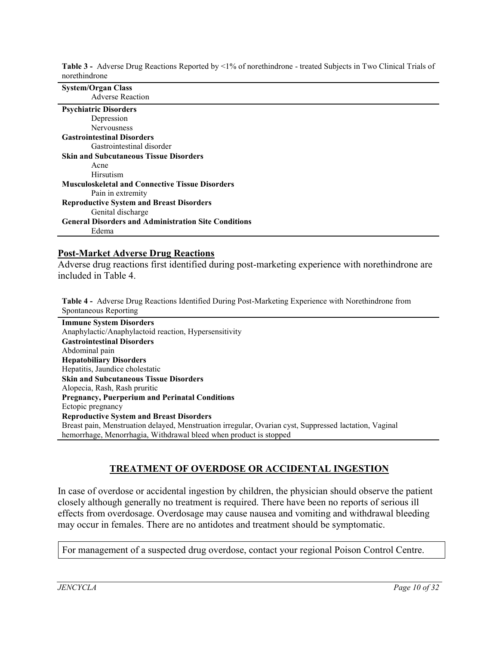| noreuninarone                                               |
|-------------------------------------------------------------|
| <b>System/Organ Class</b>                                   |
| <b>Adverse Reaction</b>                                     |
| <b>Psychiatric Disorders</b>                                |
| Depression                                                  |
| <b>Nervousness</b>                                          |
| <b>Gastrointestinal Disorders</b>                           |
| Gastrointestinal disorder                                   |
| <b>Skin and Subcutaneous Tissue Disorders</b>               |
| Acne                                                        |
| Hirsutism                                                   |
| <b>Musculoskeletal and Connective Tissue Disorders</b>      |
| Pain in extremity                                           |
| <b>Reproductive System and Breast Disorders</b>             |
| Genital discharge                                           |
| <b>General Disorders and Administration Site Conditions</b> |
| Edema                                                       |
|                                                             |

**Table 3 -** Adverse Drug Reactions Reported by <1% of norethindrone - treated Subjects in Two Clinical Trials of norethindrone

#### **Post-Market Adverse Drug Reactions**

Adverse drug reactions first identified during post-marketing experience with norethindrone are included in Table 4.

**Table 4 -** Adverse Drug Reactions Identified During Post-Marketing Experience with Norethindrone from Spontaneous Reporting

**Immune System Disorders** Anaphylactic/Anaphylactoid reaction, Hypersensitivity **Gastrointestinal Disorders** Abdominal pain **Hepatobiliary Disorders** Hepatitis, Jaundice cholestatic **Skin and Subcutaneous Tissue Disorders** Alopecia, Rash, Rash pruritic **Pregnancy, Puerperium and Perinatal Conditions** Ectopic pregnancy **Reproductive System and Breast Disorders** Breast pain, Menstruation delayed, Menstruation irregular, Ovarian cyst, Suppressed lactation, Vaginal hemorrhage, Menorrhagia, Withdrawal bleed when product is stopped

### **TREATMENT OF OVERDOSE OR ACCIDENTAL INGESTION**

In case of overdose or accidental ingestion by children, the physician should observe the patient closely although generally no treatment is required. There have been no reports of serious ill effects from overdosage. Overdosage may cause nausea and vomiting and withdrawal bleeding may occur in females. There are no antidotes and treatment should be symptomatic.

For management of a suspected drug overdose, contact your regional Poison Control Centre.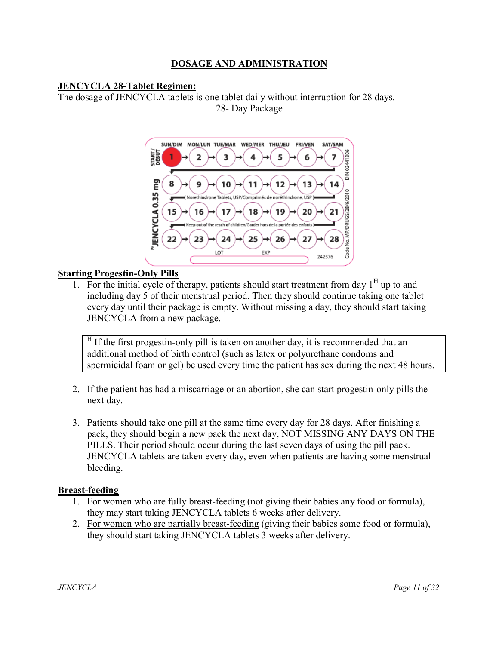# **DOSAGE AND ADMINISTRATION**

### **JENCYCLA 28-Tablet Regimen:**

The dosage of JENCYCLA tablets is one tablet daily without interruption for 28 days. 28- Day Package



### **Starting Progestin-Only Pills**

1. For the initial cycle of therapy, patients should start treatment from day  $1<sup>H</sup>$  up to and including day 5 of their menstrual period. Then they should continue taking one tablet every day until their package is empty. Without missing a day, they should start taking JENCYCLA from a new package.

 $H$  If the first progestin-only pill is taken on another day, it is recommended that an additional method of birth control (such as latex or polyurethane condoms and spermicidal foam or gel) be used every time the patient has sex during the next 48 hours.

- 2. If the patient has had a miscarriage or an abortion, she can start progestin-only pills the next day.
- 3. Patients should take one pill at the same time every day for 28 days. After finishing a pack, they should begin a new pack the next day, NOT MISSING ANY DAYS ON THE PILLS. Their period should occur during the last seven days of using the pill pack. JENCYCLA tablets are taken every day, even when patients are having some menstrual bleeding.

### **Breast-feeding**

- 1. For women who are fully breast-feeding (not giving their babies any food or formula), they may start taking JENCYCLA tablets 6 weeks after delivery.
- 2. For women who are partially breast-feeding (giving their babies some food or formula), they should start taking JENCYCLA tablets 3 weeks after delivery.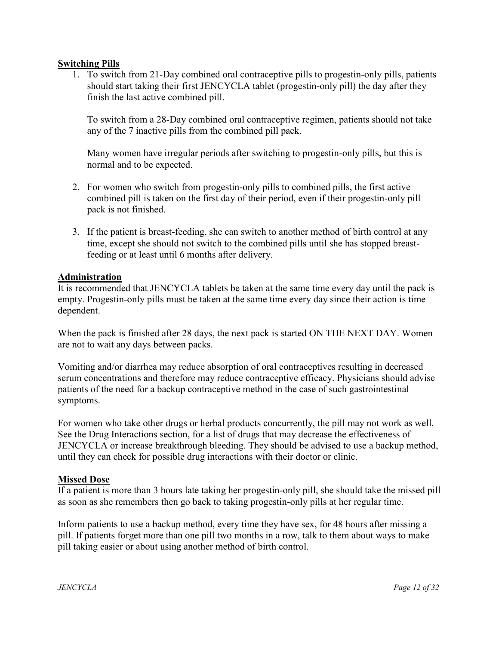### **Switching Pills**

1. To switch from 21-Day combined oral contraceptive pills to progestin-only pills, patients should start taking their first JENCYCLA tablet (progestin-only pill) the day after they finish the last active combined pill.

To switch from a 28-Day combined oral contraceptive regimen, patients should not take any of the 7 inactive pills from the combined pill pack.

Many women have irregular periods after switching to progestin-only pills, but this is normal and to be expected.

- 2. For women who switch from progestin-only pills to combined pills, the first active combined pill is taken on the first day of their period, even if their progestin-only pill pack is not finished.
- 3. If the patient is breast-feeding, she can switch to another method of birth control at any time, except she should not switch to the combined pills until she has stopped breastfeeding or at least until 6 months after delivery.

## **Administration**

It is recommended that JENCYCLA tablets be taken at the same time every day until the pack is empty. Progestin-only pills must be taken at the same time every day since their action is time dependent.

When the pack is finished after 28 days, the next pack is started ON THE NEXT DAY. Women are not to wait any days between packs.

Vomiting and/or diarrhea may reduce absorption of oral contraceptives resulting in decreased serum concentrations and therefore may reduce contraceptive efficacy. Physicians should advise patients of the need for a backup contraceptive method in the case of such gastrointestinal symptoms.

For women who take other drugs or herbal products concurrently, the pill may not work as well. See the Drug Interactions section, for a list of drugs that may decrease the effectiveness of JENCYCLA or increase breakthrough bleeding. They should be advised to use a backup method, until they can check for possible drug interactions with their doctor or clinic.

# **Missed Dose**

If a patient is more than 3 hours late taking her progestin-only pill, she should take the missed pill as soon as she remembers then go back to taking progestin-only pills at her regular time.

Inform patients to use a backup method, every time they have sex, for 48 hours after missing a pill. If patients forget more than one pill two months in a row, talk to them about ways to make pill taking easier or about using another method of birth control.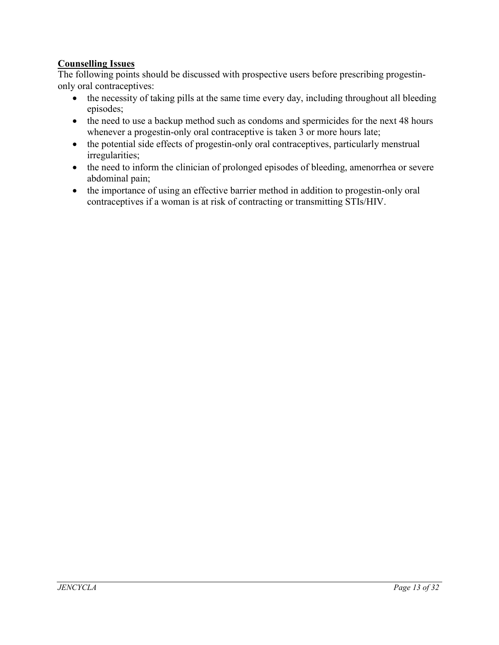# **Counselling Issues**

The following points should be discussed with prospective users before prescribing progestinonly oral contraceptives:

- the necessity of taking pills at the same time every day, including throughout all bleeding episodes;
- the need to use a backup method such as condoms and spermicides for the next 48 hours whenever a progestin-only oral contraceptive is taken 3 or more hours late;
- the potential side effects of progestin-only oral contraceptives, particularly menstrual irregularities;
- the need to inform the clinician of prolonged episodes of bleeding, amenorrhea or severe abdominal pain;
- the importance of using an effective barrier method in addition to progestin-only oral contraceptives if a woman is at risk of contracting or transmitting STIs/HIV.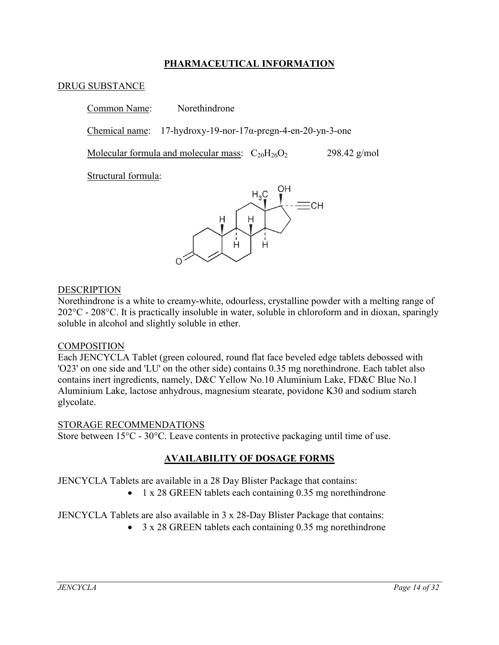## **PHARMACEUTICAL INFORMATION**

### DRUG SUBSTANCE

Common Name: Norethindrone

Chemical name: 17-hydroxy-19-nor-17α-pregn-4-en-20-yn-3-one

Molecular formula and molecular mass:  $C_{20}H_{26}O_2$  298.42 g/mol

Structural formula:



### DESCRIPTION

Norethindrone is a white to creamy-white, odourless, crystalline powder with a melting range of 202°C - 208°C. It is practically insoluble in water, soluble in chloroform and in dioxan, sparingly soluble in alcohol and slightly soluble in ether.

### **COMPOSITION**

Each JENCYCLA Tablet (green coloured, round flat face beveled edge tablets debossed with 'O23' on one side and 'LU' on the other side) contains 0.35 mg norethindrone. Each tablet also contains inert ingredients, namely, D&C Yellow No.10 Aluminium Lake, FD&C Blue No.1 Aluminium Lake, lactose anhydrous, magnesium stearate, povidone K30 and sodium starch glycolate.

### STORAGE RECOMMENDATIONS

Store between 15°C - 30°C. Leave contents in protective packaging until time of use.

### **AVAILABILITY OF DOSAGE FORMS**

JENCYCLA Tablets are available in a 28 Day Blister Package that contains:

• 1 x 28 GREEN tablets each containing 0.35 mg norethindrone

JENCYCLA Tablets are also available in 3 x 28-Day Blister Package that contains:

• 3 x 28 GREEN tablets each containing 0.35 mg norethindrone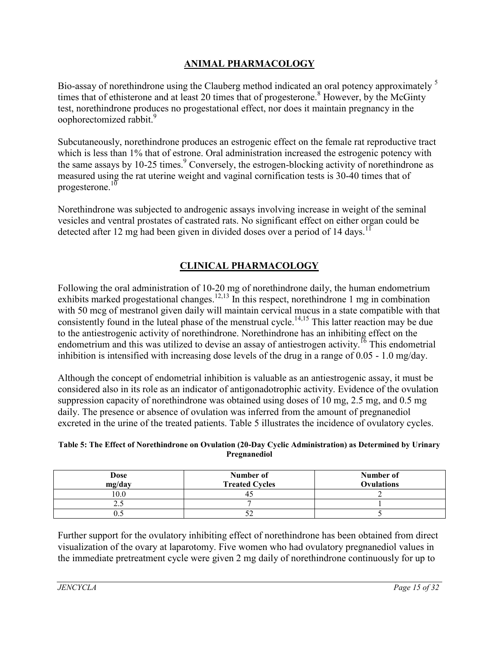# **ANIMAL PHARMACOLOGY**

Bio-assay of norethindrone using the Clauberg method indicated an oral potency approximately <sup>5</sup> times that of ethisterone and at least 20 times that of progesterone.<sup>8</sup> However, by the McGinty test, norethindrone produces no progestational effect, nor does it maintain pregnancy in the oophorectomized rabbit.<sup>9</sup>

Subcutaneously, norethindrone produces an estrogenic effect on the female rat reproductive tract which is less than 1% that of estrone. Oral administration increased the estrogenic potency with the same assays by 10-25 times.<sup>9</sup> Conversely, the estrogen-blocking activity of norethindrone as measured using the rat uterine weight and vaginal cornification tests is 30-40 times that of progesterone.<sup>10</sup>

Norethindrone was subjected to androgenic assays involving increase in weight of the seminal vesicles and ventral prostates of castrated rats. No significant effect on either organ could be detected after 12 mg had been given in divided doses over a period of 14 days.<sup>11</sup>

# **CLINICAL PHARMACOLOGY**

Following the oral administration of 10-20 mg of norethindrone daily, the human endometrium exhibits marked progestational changes.<sup>12,13</sup> In this respect, norethindrone 1 mg in combination with 50 mcg of mestranol given daily will maintain cervical mucus in a state compatible with that consistently found in the luteal phase of the menstrual cycle.<sup>14,15</sup> This latter reaction may be due to the antiestrogenic activity of norethindrone. Norethindrone has an inhibiting effect on the endometrium and this was utilized to devise an assay of antiestrogen activity.<sup>16</sup> This endometrial inhibition is intensified with increasing dose levels of the drug in a range of 0.05 - 1.0 mg/day.

Although the concept of endometrial inhibition is valuable as an antiestrogenic assay, it must be considered also in its role as an indicator of antigonadotrophic activity. Evidence of the ovulation suppression capacity of norethindrone was obtained using doses of 10 mg, 2.5 mg, and 0.5 mg daily. The presence or absence of ovulation was inferred from the amount of pregnanediol excreted in the urine of the treated patients. Table 5 illustrates the incidence of ovulatory cycles.

| Table 5: The Effect of Norethindrone on Ovulation (20-Day Cyclic Administration) as Determined by Urinary |
|-----------------------------------------------------------------------------------------------------------|
| <b>Pregnanediol</b>                                                                                       |

| <b>Dose</b><br>mg/day | Number of<br><b>Treated Cycles</b> | Number of<br><b>Ovulations</b> |
|-----------------------|------------------------------------|--------------------------------|
| 10.0                  |                                    |                                |
| ل . پ                 |                                    |                                |
|                       |                                    |                                |

Further support for the ovulatory inhibiting effect of norethindrone has been obtained from direct visualization of the ovary at laparotomy. Five women who had ovulatory pregnanediol values in the immediate pretreatment cycle were given 2 mg daily of norethindrone continuously for up to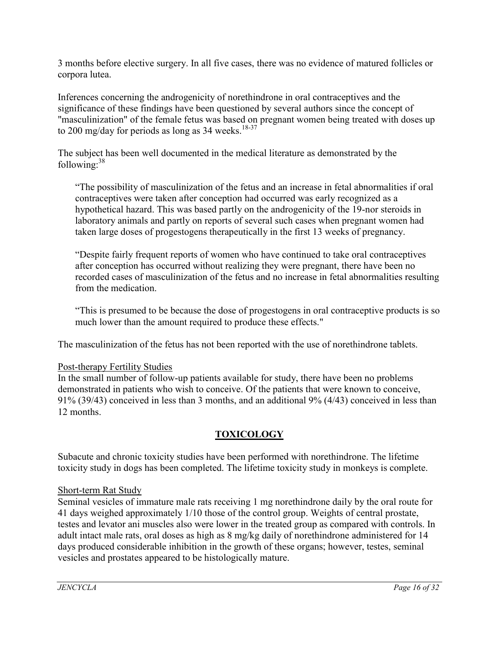3 months before elective surgery. In all five cases, there was no evidence of matured follicles or corpora lutea.

Inferences concerning the androgenicity of norethindrone in oral contraceptives and the significance of these findings have been questioned by several authors since the concept of "masculinization" of the female fetus was based on pregnant women being treated with doses up to 200 mg/day for periods as long as 34 weeks.<sup>18-37</sup>

The subject has been well documented in the medical literature as demonstrated by the following: $38$ 

"The possibility of masculinization of the fetus and an increase in fetal abnormalities if oral contraceptives were taken after conception had occurred was early recognized as a hypothetical hazard. This was based partly on the androgenicity of the 19-nor steroids in laboratory animals and partly on reports of several such cases when pregnant women had taken large doses of progestogens therapeutically in the first 13 weeks of pregnancy.

"Despite fairly frequent reports of women who have continued to take oral contraceptives after conception has occurred without realizing they were pregnant, there have been no recorded cases of masculinization of the fetus and no increase in fetal abnormalities resulting from the medication.

"This is presumed to be because the dose of progestogens in oral contraceptive products is so much lower than the amount required to produce these effects."

The masculinization of the fetus has not been reported with the use of norethindrone tablets.

# Post-therapy Fertility Studies

In the small number of follow-up patients available for study, there have been no problems demonstrated in patients who wish to conceive. Of the patients that were known to conceive, 91% (39/43) conceived in less than 3 months, and an additional 9% (4/43) conceived in less than 12 months.

# **TOXICOLOGY**

Subacute and chronic toxicity studies have been performed with norethindrone. The lifetime toxicity study in dogs has been completed. The lifetime toxicity study in monkeys is complete.

# Short-term Rat Study

Seminal vesicles of immature male rats receiving 1 mg norethindrone daily by the oral route for 41 days weighed approximately 1/10 those of the control group. Weights of central prostate, testes and levator ani muscles also were lower in the treated group as compared with controls. In adult intact male rats, oral doses as high as 8 mg/kg daily of norethindrone administered for 14 days produced considerable inhibition in the growth of these organs; however, testes, seminal vesicles and prostates appeared to be histologically mature.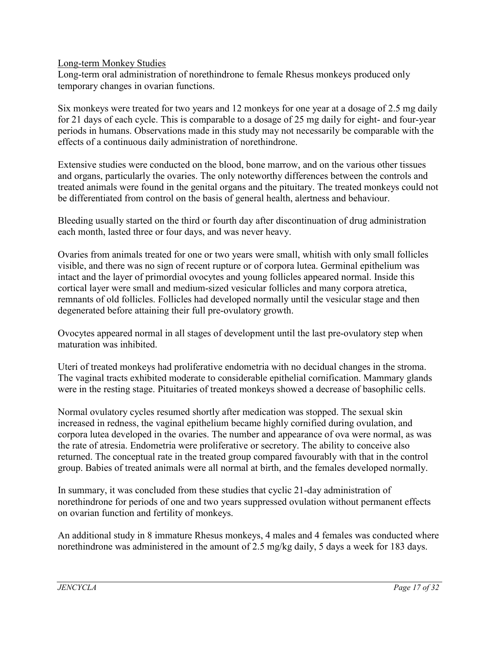Long-term Monkey Studies

Long-term oral administration of norethindrone to female Rhesus monkeys produced only temporary changes in ovarian functions.

Six monkeys were treated for two years and 12 monkeys for one year at a dosage of 2.5 mg daily for 21 days of each cycle. This is comparable to a dosage of 25 mg daily for eight- and four-year periods in humans. Observations made in this study may not necessarily be comparable with the effects of a continuous daily administration of norethindrone.

Extensive studies were conducted on the blood, bone marrow, and on the various other tissues and organs, particularly the ovaries. The only noteworthy differences between the controls and treated animals were found in the genital organs and the pituitary. The treated monkeys could not be differentiated from control on the basis of general health, alertness and behaviour.

Bleeding usually started on the third or fourth day after discontinuation of drug administration each month, lasted three or four days, and was never heavy.

Ovaries from animals treated for one or two years were small, whitish with only small follicles visible, and there was no sign of recent rupture or of corpora lutea. Germinal epithelium was intact and the layer of primordial ovocytes and young follicles appeared normal. Inside this cortical layer were small and medium-sized vesicular follicles and many corpora atretica, remnants of old follicles. Follicles had developed normally until the vesicular stage and then degenerated before attaining their full pre-ovulatory growth.

Ovocytes appeared normal in all stages of development until the last pre-ovulatory step when maturation was inhibited.

Uteri of treated monkeys had proliferative endometria with no decidual changes in the stroma. The vaginal tracts exhibited moderate to considerable epithelial cornification. Mammary glands were in the resting stage. Pituitaries of treated monkeys showed a decrease of basophilic cells.

Normal ovulatory cycles resumed shortly after medication was stopped. The sexual skin increased in redness, the vaginal epithelium became highly cornified during ovulation, and corpora lutea developed in the ovaries. The number and appearance of ova were normal, as was the rate of atresia. Endometria were proliferative or secretory. The ability to conceive also returned. The conceptual rate in the treated group compared favourably with that in the control group. Babies of treated animals were all normal at birth, and the females developed normally.

In summary, it was concluded from these studies that cyclic 21-day administration of norethindrone for periods of one and two years suppressed ovulation without permanent effects on ovarian function and fertility of monkeys.

An additional study in 8 immature Rhesus monkeys, 4 males and 4 females was conducted where norethindrone was administered in the amount of 2.5 mg/kg daily, 5 days a week for 183 days.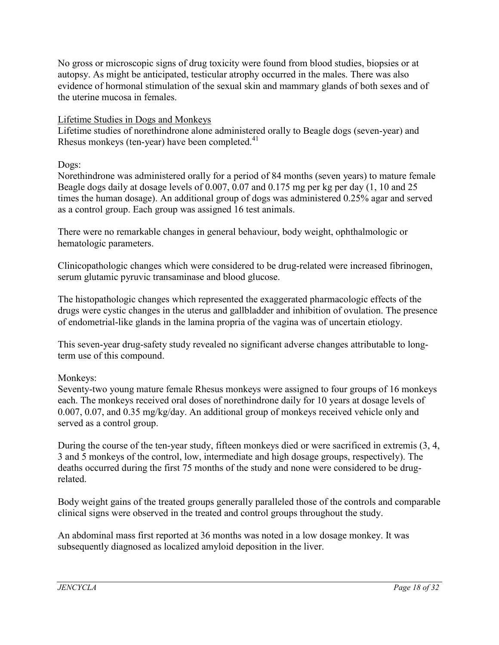No gross or microscopic signs of drug toxicity were found from blood studies, biopsies or at autopsy. As might be anticipated, testicular atrophy occurred in the males. There was also evidence of hormonal stimulation of the sexual skin and mammary glands of both sexes and of the uterine mucosa in females.

# Lifetime Studies in Dogs and Monkeys

Lifetime studies of norethindrone alone administered orally to Beagle dogs (seven-year) and Rhesus monkeys (ten-year) have been completed. $41$ 

Dogs:

Norethindrone was administered orally for a period of 84 months (seven years) to mature female Beagle dogs daily at dosage levels of 0.007, 0.07 and 0.175 mg per kg per day (1, 10 and 25 times the human dosage). An additional group of dogs was administered 0.25% agar and served as a control group. Each group was assigned 16 test animals.

There were no remarkable changes in general behaviour, body weight, ophthalmologic or hematologic parameters.

Clinicopathologic changes which were considered to be drug-related were increased fibrinogen, serum glutamic pyruvic transaminase and blood glucose.

The histopathologic changes which represented the exaggerated pharmacologic effects of the drugs were cystic changes in the uterus and gallbladder and inhibition of ovulation. The presence of endometrial-like glands in the lamina propria of the vagina was of uncertain etiology.

This seven-year drug-safety study revealed no significant adverse changes attributable to longterm use of this compound.

Monkeys:

Seventy-two young mature female Rhesus monkeys were assigned to four groups of 16 monkeys each. The monkeys received oral doses of norethindrone daily for 10 years at dosage levels of 0.007, 0.07, and 0.35 mg/kg/day. An additional group of monkeys received vehicle only and served as a control group.

During the course of the ten-year study, fifteen monkeys died or were sacrificed in extremis (3, 4, 3 and 5 monkeys of the control, low, intermediate and high dosage groups, respectively). The deaths occurred during the first 75 months of the study and none were considered to be drugrelated.

Body weight gains of the treated groups generally paralleled those of the controls and comparable clinical signs were observed in the treated and control groups throughout the study.

An abdominal mass first reported at 36 months was noted in a low dosage monkey. It was subsequently diagnosed as localized amyloid deposition in the liver.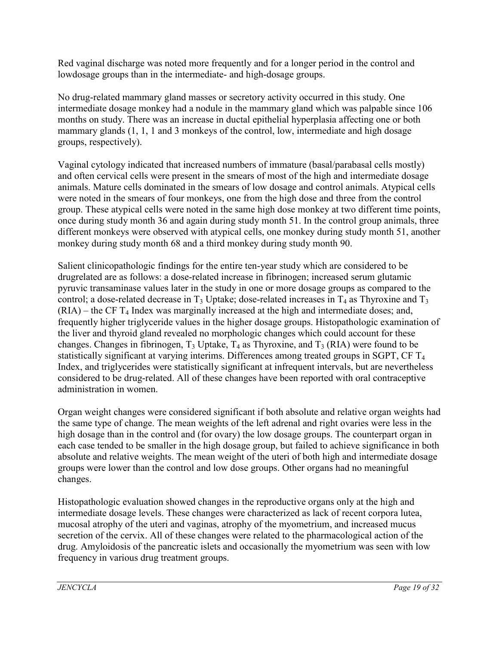Red vaginal discharge was noted more frequently and for a longer period in the control and lowdosage groups than in the intermediate- and high-dosage groups.

No drug-related mammary gland masses or secretory activity occurred in this study. One intermediate dosage monkey had a nodule in the mammary gland which was palpable since 106 months on study. There was an increase in ductal epithelial hyperplasia affecting one or both mammary glands (1, 1, 1 and 3 monkeys of the control, low, intermediate and high dosage groups, respectively).

Vaginal cytology indicated that increased numbers of immature (basal/parabasal cells mostly) and often cervical cells were present in the smears of most of the high and intermediate dosage animals. Mature cells dominated in the smears of low dosage and control animals. Atypical cells were noted in the smears of four monkeys, one from the high dose and three from the control group. These atypical cells were noted in the same high dose monkey at two different time points, once during study month 36 and again during study month 51. In the control group animals, three different monkeys were observed with atypical cells, one monkey during study month 51, another monkey during study month 68 and a third monkey during study month 90.

Salient clinicopathologic findings for the entire ten-year study which are considered to be drugrelated are as follows: a dose-related increase in fibrinogen; increased serum glutamic pyruvic transaminase values later in the study in one or more dosage groups as compared to the control; a dose-related decrease in  $T_3$  Uptake; dose-related increases in  $T_4$  as Thyroxine and  $T_3$  $(RIA)$  – the CF  $T_4$  Index was marginally increased at the high and intermediate doses; and, frequently higher triglyceride values in the higher dosage groups. Histopathologic examination of the liver and thyroid gland revealed no morphologic changes which could account for these changes. Changes in fibrinogen,  $T_3$  Uptake,  $T_4$  as Thyroxine, and  $T_3$  (RIA) were found to be statistically significant at varying interims. Differences among treated groups in SGPT, CF T<sub>4</sub> Index, and triglycerides were statistically significant at infrequent intervals, but are nevertheless considered to be drug-related. All of these changes have been reported with oral contraceptive administration in women.

Organ weight changes were considered significant if both absolute and relative organ weights had the same type of change. The mean weights of the left adrenal and right ovaries were less in the high dosage than in the control and (for ovary) the low dosage groups. The counterpart organ in each case tended to be smaller in the high dosage group, but failed to achieve significance in both absolute and relative weights. The mean weight of the uteri of both high and intermediate dosage groups were lower than the control and low dose groups. Other organs had no meaningful changes.

Histopathologic evaluation showed changes in the reproductive organs only at the high and intermediate dosage levels. These changes were characterized as lack of recent corpora lutea, mucosal atrophy of the uteri and vaginas, atrophy of the myometrium, and increased mucus secretion of the cervix. All of these changes were related to the pharmacological action of the drug. Amyloidosis of the pancreatic islets and occasionally the myometrium was seen with low frequency in various drug treatment groups.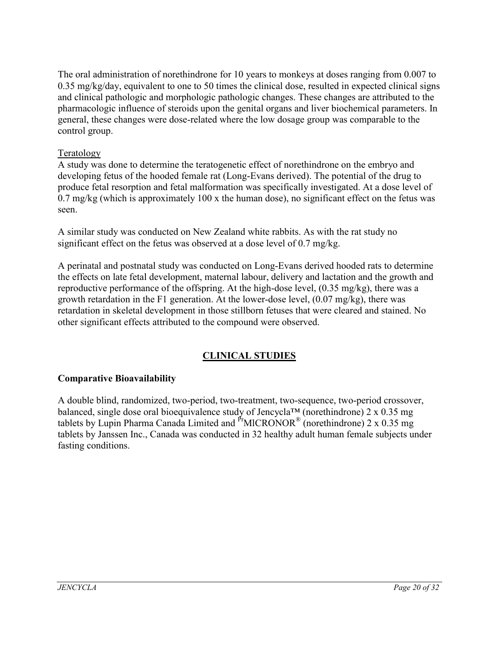The oral administration of norethindrone for 10 years to monkeys at doses ranging from 0.007 to 0.35 mg/kg/day, equivalent to one to 50 times the clinical dose, resulted in expected clinical signs and clinical pathologic and morphologic pathologic changes. These changes are attributed to the pharmacologic influence of steroids upon the genital organs and liver biochemical parameters. In general, these changes were dose-related where the low dosage group was comparable to the control group.

# Teratology

A study was done to determine the teratogenetic effect of norethindrone on the embryo and developing fetus of the hooded female rat (Long-Evans derived). The potential of the drug to produce fetal resorption and fetal malformation was specifically investigated. At a dose level of  $0.7 \text{ mg/kg}$  (which is approximately  $100 \text{ x}$  the human dose), no significant effect on the fetus was seen.

A similar study was conducted on New Zealand white rabbits. As with the rat study no significant effect on the fetus was observed at a dose level of 0.7 mg/kg.

A perinatal and postnatal study was conducted on Long-Evans derived hooded rats to determine the effects on late fetal development, maternal labour, delivery and lactation and the growth and reproductive performance of the offspring. At the high-dose level, (0.35 mg/kg), there was a growth retardation in the F1 generation. At the lower-dose level, (0.07 mg/kg), there was retardation in skeletal development in those stillborn fetuses that were cleared and stained. No other significant effects attributed to the compound were observed.

# **CLINICAL STUDIES**

### **Comparative Bioavailability**

A double blind, randomized, two-period, two-treatment, two-sequence, two-period crossover, balanced, single dose oral bioequivalence study of Jencycla<sup>TM</sup> (norethindrone) 2 x 0.35 mg tablets by Lupin Pharma Canada Limited and  $P<sup>F</sup>MICRONOR<sup>®</sup>$  (norethindrone) 2 x 0.35 mg tablets by Janssen Inc., Canada was conducted in 32 healthy adult human female subjects under fasting conditions.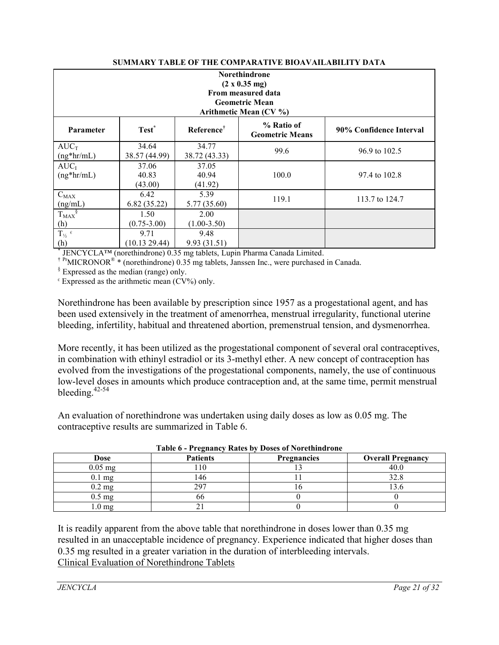| <b>Norethindrone</b><br>(2 x 0.35 mg)<br>From measured data<br><b>Geometric Mean</b>                                        |                           |                           |                        |                |  |
|-----------------------------------------------------------------------------------------------------------------------------|---------------------------|---------------------------|------------------------|----------------|--|
|                                                                                                                             |                           |                           | Arithmetic Mean (CV %) |                |  |
| % Ratio of<br>Test <sup>*</sup><br>Reference <sup>†</sup><br>90% Confidence Interval<br>Parameter<br><b>Geometric Means</b> |                           |                           |                        |                |  |
| $AUC_T$<br>$(ng*hr/mL)$                                                                                                     | 34.64<br>38.57 (44.99)    | 34.77<br>38.72 (43.33)    | 99.6                   | 96.9 to 102.5  |  |
| $AUC_I$<br>$(ng*hr/mL)$                                                                                                     | 37.06<br>40.83<br>(43.00) | 37.05<br>40.94<br>(41.92) | 100.0                  | 97.4 to 102.8  |  |
| $C_{MAX}$<br>(ng/mL)                                                                                                        | 6.42<br>6.82(35.22)       | 5.39<br>5.77 (35.60)      | 119.1                  | 113.7 to 124.7 |  |
| $T_{MAX}$ <sup>§</sup><br>(h)                                                                                               | 1.50<br>$(0.75 - 3.00)$   | 2.00<br>$(1.00-3.50)$     |                        |                |  |
| $T_{\frac{1}{2}}$ $\epsilon$<br>(h)                                                                                         | 9.71<br>(10.13 29.44)     | 9.48<br>9.93(31.51)       |                        |                |  |

#### **SUMMARY TABLE OF THE COMPARATIVE BIOAVAILABILITY DATA**

\* JENCYCLA™ (norethindrone) 0.35 mg tablets, Lupin Pharma Canada Limited.

<sup>† Pr</sup>MICRONOR<sup>®</sup> \* (norethindrone) 0.35 mg tablets, Janssen Inc., were purchased in Canada.

 $§$  Expressed as the median (range) only.

 $\epsilon$  Expressed as the arithmetic mean (CV%) only.

Norethindrone has been available by prescription since 1957 as a progestational agent, and has been used extensively in the treatment of amenorrhea, menstrual irregularity, functional uterine bleeding, infertility, habitual and threatened abortion, premenstrual tension, and dysmenorrhea.

More recently, it has been utilized as the progestational component of several oral contraceptives, in combination with ethinyl estradiol or its 3-methyl ether. A new concept of contraception has evolved from the investigations of the progestational components, namely, the use of continuous low-level doses in amounts which produce contraception and, at the same time, permit menstrual bleeding.<sup>42-54</sup>

An evaluation of norethindrone was undertaken using daily doses as low as 0.05 mg. The contraceptive results are summarized in Table 6.

| $\frac{1}{2}$       |                 |                    |                          |  |
|---------------------|-----------------|--------------------|--------------------------|--|
| Dose                | <b>Patients</b> | <b>Pregnancies</b> | <b>Overall Pregnancy</b> |  |
| $0.05$ mg           | 10              |                    |                          |  |
| $0.1$ mg            | !46             |                    |                          |  |
| $0.2 \text{ mg}$    | 297             |                    |                          |  |
| $0.5 \text{ mg}$    | 66              |                    |                          |  |
| $1.0 \,\mathrm{mg}$ |                 |                    |                          |  |

| Table 6 - Pregnancy Rates by Doses of Norethindrone |  |  |
|-----------------------------------------------------|--|--|
|                                                     |  |  |

It is readily apparent from the above table that norethindrone in doses lower than 0.35 mg resulted in an unacceptable incidence of pregnancy. Experience indicated that higher doses than 0.35 mg resulted in a greater variation in the duration of interbleeding intervals. Clinical Evaluation of Norethindrone Tablets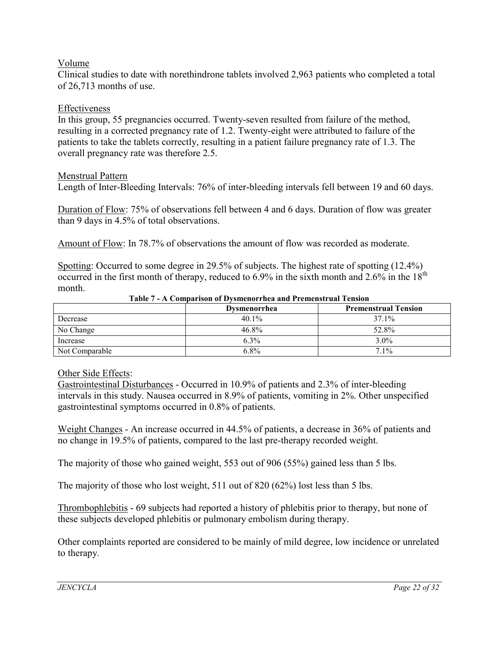### Volume

Clinical studies to date with norethindrone tablets involved 2,963 patients who completed a total of 26,713 months of use.

### Effectiveness

In this group, 55 pregnancies occurred. Twenty-seven resulted from failure of the method, resulting in a corrected pregnancy rate of 1.2. Twenty-eight were attributed to failure of the patients to take the tablets correctly, resulting in a patient failure pregnancy rate of 1.3. The overall pregnancy rate was therefore 2.5.

### Menstrual Pattern

Length of Inter-Bleeding Intervals: 76% of inter-bleeding intervals fell between 19 and 60 days.

Duration of Flow: 75% of observations fell between 4 and 6 days. Duration of flow was greater than 9 days in 4.5% of total observations.

Amount of Flow: In 78.7% of observations the amount of flow was recorded as moderate.

Spotting: Occurred to some degree in 29.5% of subjects. The highest rate of spotting (12.4%) occurred in the first month of therapy, reduced to  $6.9\%$  in the sixth month and  $2.6\%$  in the  $18<sup>th</sup>$ month.

|                | <b>Dysmenorrhea</b> | <b>Premenstrual Tension</b> |
|----------------|---------------------|-----------------------------|
| Decrease       | $40.1\%$            | 37.1%                       |
| No Change      | 46.8%               | 52.8%                       |
| Increase       | 6.3%                | $3.0\%$                     |
| Not Comparable | $6.8\%$             | $7.1\%$                     |

#### **Table 7 - A Comparison of Dysmenorrhea and Premenstrual Tension**

### Other Side Effects:

Gastrointestinal Disturbances - Occurred in 10.9% of patients and 2.3% of inter-bleeding intervals in this study. Nausea occurred in 8.9% of patients, vomiting in 2%. Other unspecified gastrointestinal symptoms occurred in 0.8% of patients.

Weight Changes - An increase occurred in 44.5% of patients, a decrease in 36% of patients and no change in 19.5% of patients, compared to the last pre-therapy recorded weight.

The majority of those who gained weight, 553 out of 906 (55%) gained less than 5 lbs.

The majority of those who lost weight, 511 out of 820 (62%) lost less than 5 lbs.

Thrombophlebitis - 69 subjects had reported a history of phlebitis prior to therapy, but none of these subjects developed phlebitis or pulmonary embolism during therapy.

Other complaints reported are considered to be mainly of mild degree, low incidence or unrelated to therapy.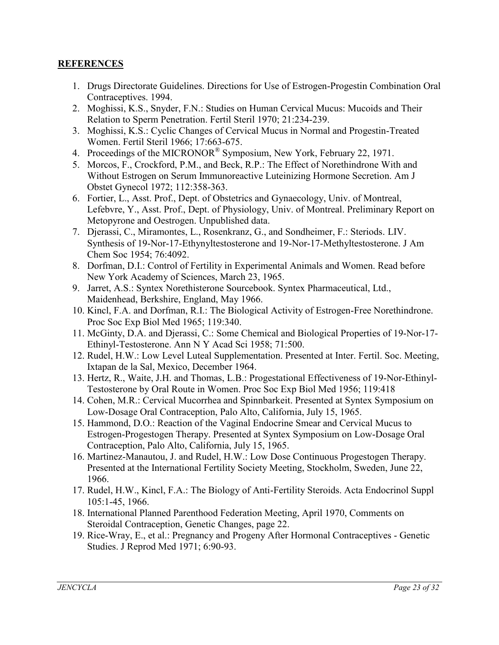# **REFERENCES**

- 1. Drugs Directorate Guidelines. Directions for Use of Estrogen-Progestin Combination Oral Contraceptives. 1994.
- 2. Moghissi, K.S., Snyder, F.N.: Studies on Human Cervical Mucus: Mucoids and Their Relation to Sperm Penetration. Fertil Steril 1970; 21:234-239.
- 3. Moghissi, K.S.: Cyclic Changes of Cervical Mucus in Normal and Progestin-Treated Women. Fertil Steril 1966; 17:663-675.
- 4. Proceedings of the MICRONOR<sup>®</sup> Symposium, New York, February 22, 1971.
- 5. Morcos, F., Crockford, P.M., and Beck, R.P.: The Effect of Norethindrone With and Without Estrogen on Serum Immunoreactive Luteinizing Hormone Secretion. Am J Obstet Gynecol 1972; 112:358-363.
- 6. Fortier, L., Asst. Prof., Dept. of Obstetrics and Gynaecology, Univ. of Montreal, Lefebvre, Y., Asst. Prof., Dept. of Physiology, Univ. of Montreal. Preliminary Report on Metopyrone and Oestrogen. Unpublished data.
- 7. Djerassi, C., Miramontes, L., Rosenkranz, G., and Sondheimer, F.: Steriods. LIV. Synthesis of 19-Nor-17-Ethynyltestosterone and 19-Nor-17-Methyltestosterone. J Am Chem Soc 1954; 76:4092.
- 8. Dorfman, D.I.: Control of Fertility in Experimental Animals and Women. Read before New York Academy of Sciences, March 23, 1965.
- 9. Jarret, A.S.: Syntex Norethisterone Sourcebook. Syntex Pharmaceutical, Ltd., Maidenhead, Berkshire, England, May 1966.
- 10. Kincl, F.A. and Dorfman, R.I.: The Biological Activity of Estrogen-Free Norethindrone. Proc Soc Exp Biol Med 1965; 119:340.
- 11. McGinty, D.A. and Djerassi, C.: Some Chemical and Biological Properties of 19-Nor-17- Ethinyl-Testosterone. Ann N Y Acad Sci 1958; 71:500.
- 12. Rudel, H.W.: Low Level Luteal Supplementation. Presented at Inter. Fertil. Soc. Meeting, Ixtapan de la Sal, Mexico, December 1964.
- 13. Hertz, R., Waite, J.H. and Thomas, L.B.: Progestational Effectiveness of 19-Nor-Ethinyl-Testosterone by Oral Route in Women. Proc Soc Exp Biol Med 1956; 119:418
- 14. Cohen, M.R.: Cervical Mucorrhea and Spinnbarkeit. Presented at Syntex Symposium on Low-Dosage Oral Contraception, Palo Alto, California, July 15, 1965.
- 15. Hammond, D.O.: Reaction of the Vaginal Endocrine Smear and Cervical Mucus to Estrogen-Progestogen Therapy. Presented at Syntex Symposium on Low-Dosage Oral Contraception, Palo Alto, California, July 15, 1965.
- 16. Martinez-Manautou, J. and Rudel, H.W.: Low Dose Continuous Progestogen Therapy. Presented at the International Fertility Society Meeting, Stockholm, Sweden, June 22, 1966.
- 17. Rudel, H.W., Kincl, F.A.: The Biology of Anti-Fertility Steroids. Acta Endocrinol Suppl 105:1-45, 1966.
- 18. International Planned Parenthood Federation Meeting, April 1970, Comments on Steroidal Contraception, Genetic Changes, page 22.
- 19. Rice-Wray, E., et al.: Pregnancy and Progeny After Hormonal Contraceptives Genetic Studies. J Reprod Med 1971; 6:90-93.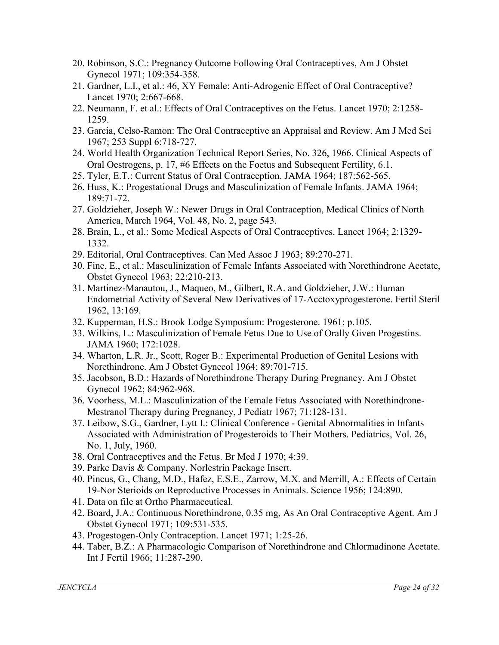- 20. Robinson, S.C.: Pregnancy Outcome Following Oral Contraceptives, Am J Obstet Gynecol 1971; 109:354-358.
- 21. Gardner, L.I., et al.: 46, XY Female: Anti-Adrogenic Effect of Oral Contraceptive? Lancet 1970; 2:667-668.
- 22. Neumann, F. et al.: Effects of Oral Contraceptives on the Fetus. Lancet 1970; 2:1258- 1259.
- 23. Garcia, Celso-Ramon: The Oral Contraceptive an Appraisal and Review. Am J Med Sci 1967; 253 Suppl 6:718-727.
- 24. World Health Organization Technical Report Series, No. 326, 1966. Clinical Aspects of Oral Oestrogens, p. 17, #6 Effects on the Foetus and Subsequent Fertility, 6.1.
- 25. Tyler, E.T.: Current Status of Oral Contraception. JAMA 1964; 187:562-565.
- 26. Huss, K.: Progestational Drugs and Masculinization of Female Infants. JAMA 1964; 189:71-72.
- 27. Goldzieher, Joseph W.: Newer Drugs in Oral Contraception, Medical Clinics of North America, March 1964, Vol. 48, No. 2, page 543.
- 28. Brain, L., et al.: Some Medical Aspects of Oral Contraceptives. Lancet 1964; 2:1329- 1332.
- 29. Editorial, Oral Contraceptives. Can Med Assoc J 1963; 89:270-271.
- 30. Fine, E., et al.: Masculinization of Female Infants Associated with Norethindrone Acetate, Obstet Gynecol 1963; 22:210-213.
- 31. Martinez-Manautou, J., Maqueo, M., Gilbert, R.A. and Goldzieher, J.W.: Human Endometrial Activity of Several New Derivatives of 17-Acctoxyprogesterone. Fertil Steril 1962, 13:169.
- 32. Kupperman, H.S.: Brook Lodge Symposium: Progesterone. 1961; p.105.
- 33. Wilkins, L.: Masculinization of Female Fetus Due to Use of Orally Given Progestins. JAMA 1960; 172:1028.
- 34. Wharton, L.R. Jr., Scott, Roger B.: Experimental Production of Genital Lesions with Norethindrone. Am J Obstet Gynecol 1964; 89:701-715.
- 35. Jacobson, B.D.: Hazards of Norethindrone Therapy During Pregnancy. Am J Obstet Gynecol 1962; 84:962-968.
- 36. Voorhess, M.L.: Masculinization of the Female Fetus Associated with Norethindrone-Mestranol Therapy during Pregnancy, J Pediatr 1967; 71:128-131.
- 37. Leibow, S.G., Gardner, Lytt I.: Clinical Conference Genital Abnormalities in Infants Associated with Administration of Progesteroids to Their Mothers. Pediatrics, Vol. 26, No. 1, July, 1960.
- 38. Oral Contraceptives and the Fetus. Br Med J 1970; 4:39.
- 39. Parke Davis & Company. Norlestrin Package Insert.
- 40. Pincus, G., Chang, M.D., Hafez, E.S.E., Zarrow, M.X. and Merrill, A.: Effects of Certain 19-Nor Sterioids on Reproductive Processes in Animals. Science 1956; 124:890.
- 41. Data on file at Ortho Pharmaceutical.
- 42. Board, J.A.: Continuous Norethindrone, 0.35 mg, As An Oral Contraceptive Agent. Am J Obstet Gynecol 1971; 109:531-535.
- 43. Progestogen-Only Contraception. Lancet 1971; 1:25-26.
- 44. Taber, B.Z.: A Pharmacologic Comparison of Norethindrone and Chlormadinone Acetate. Int J Fertil 1966; 11:287-290.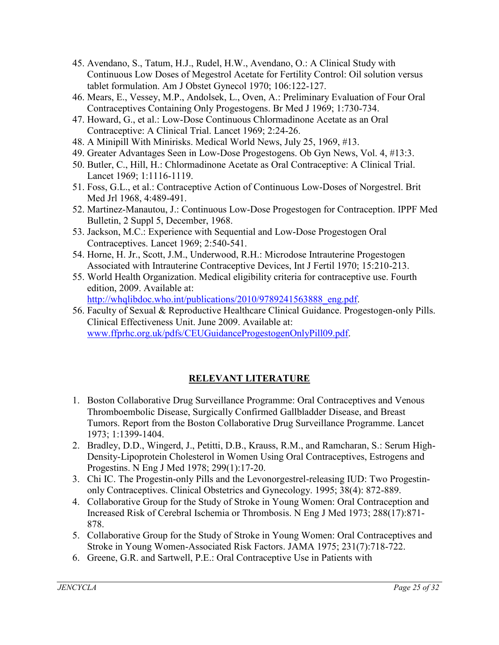- 45. Avendano, S., Tatum, H.J., Rudel, H.W., Avendano, O.: A Clinical Study with Continuous Low Doses of Megestrol Acetate for Fertility Control: Oil solution versus tablet formulation. Am J Obstet Gynecol 1970; 106:122-127.
- 46. Mears, E., Vessey, M.P., Andolsek, L., Oven, A.: Preliminary Evaluation of Four Oral Contraceptives Containing Only Progestogens. Br Med J 1969; 1:730-734.
- 47. Howard, G., et al.: Low-Dose Continuous Chlormadinone Acetate as an Oral Contraceptive: A Clinical Trial. Lancet 1969; 2:24-26.
- 48. A Minipill With Minirisks. Medical World News, July 25, 1969, #13.
- 49. Greater Advantages Seen in Low-Dose Progestogens. Ob Gyn News, Vol. 4, #13:3.
- 50. Butler, C., Hill, H.: Chlormadinone Acetate as Oral Contraceptive: A Clinical Trial. Lancet 1969; 1:1116-1119.
- 51. Foss, G.L., et al.: Contraceptive Action of Continuous Low-Doses of Norgestrel. Brit Med Jrl 1968, 4:489-491.
- 52. Martinez-Manautou, J.: Continuous Low-Dose Progestogen for Contraception. IPPF Med Bulletin, 2 Suppl 5, December, 1968.
- 53. Jackson, M.C.: Experience with Sequential and Low-Dose Progestogen Oral Contraceptives. Lancet 1969; 2:540-541.
- 54. Horne, H. Jr., Scott, J.M., Underwood, R.H.: Microdose Intrauterine Progestogen Associated with Intrauterine Contraceptive Devices, Int J Fertil 1970; 15:210-213.
- 55. World Health Organization. Medical eligibility criteria for contraceptive use. Fourth edition, 2009. Available at: [http://whqlibdoc.who.int/publications/2010/9789241563888\\_eng.pdf.](http://whqlibdoc.who.int/publications/2010/9789241563888_eng.pdf)
- 56. Faculty of Sexual & Reproductive Healthcare Clinical Guidance. Progestogen-only Pills. Clinical Effectiveness Unit. June 2009. Available at: [www.ffprhc.org.uk/pdfs/CEUGuidanceProgestogenOnlyPill09.pdf.](http://www.ffprhc.org.uk/pdfs/CEUGuidanceProgestogenOnlyPill09.pdf)

# **RELEVANT LITERATURE**

- 1. Boston Collaborative Drug Surveillance Programme: Oral Contraceptives and Venous Thromboembolic Disease, Surgically Confirmed Gallbladder Disease, and Breast Tumors. Report from the Boston Collaborative Drug Surveillance Programme. Lancet 1973; 1:1399-1404.
- 2. Bradley, D.D., Wingerd, J., Petitti, D.B., Krauss, R.M., and Ramcharan, S.: Serum High-Density-Lipoprotein Cholesterol in Women Using Oral Contraceptives, Estrogens and Progestins. N Eng J Med 1978; 299(1):17-20.
- 3. Chi IC. The Progestin-only Pills and the Levonorgestrel-releasing IUD: Two Progestinonly Contraceptives. Clinical Obstetrics and Gynecology. 1995; 38(4): 872-889.
- 4. Collaborative Group for the Study of Stroke in Young Women: Oral Contraception and Increased Risk of Cerebral Ischemia or Thrombosis. N Eng J Med 1973; 288(17):871- 878.
- 5. Collaborative Group for the Study of Stroke in Young Women: Oral Contraceptives and Stroke in Young Women-Associated Risk Factors. JAMA 1975; 231(7):718-722.
- 6. Greene, G.R. and Sartwell, P.E.: Oral Contraceptive Use in Patients with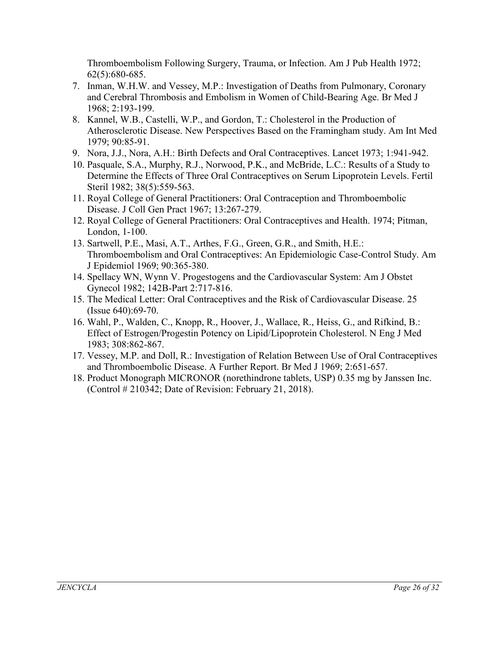Thromboembolism Following Surgery, Trauma, or Infection. Am J Pub Health 1972; 62(5):680-685.

- 7. Inman, W.H.W. and Vessey, M.P.: Investigation of Deaths from Pulmonary, Coronary and Cerebral Thrombosis and Embolism in Women of Child-Bearing Age. Br Med J 1968; 2:193-199.
- 8. Kannel, W.B., Castelli, W.P., and Gordon, T.: Cholesterol in the Production of Atherosclerotic Disease. New Perspectives Based on the Framingham study. Am Int Med 1979; 90:85-91.
- 9. Nora, J.J., Nora, A.H.: Birth Defects and Oral Contraceptives. Lancet 1973; 1:941-942.
- 10. Pasquale, S.A., Murphy, R.J., Norwood, P.K., and McBride, L.C.: Results of a Study to Determine the Effects of Three Oral Contraceptives on Serum Lipoprotein Levels. Fertil Steril 1982; 38(5):559-563.
- 11. Royal College of General Practitioners: Oral Contraception and Thromboembolic Disease. J Coll Gen Pract 1967; 13:267-279.
- 12. Royal College of General Practitioners: Oral Contraceptives and Health. 1974; Pitman, London, 1-100.
- 13. Sartwell, P.E., Masi, A.T., Arthes, F.G., Green, G.R., and Smith, H.E.: Thromboembolism and Oral Contraceptives: An Epidemiologic Case-Control Study. Am J Epidemiol 1969; 90:365-380.
- 14. Spellacy WN, Wynn V. Progestogens and the Cardiovascular System: Am J Obstet Gynecol 1982; 142B-Part 2:717-816.
- 15. The Medical Letter: Oral Contraceptives and the Risk of Cardiovascular Disease. 25 (Issue 640):69-70.
- 16. Wahl, P., Walden, C., Knopp, R., Hoover, J., Wallace, R., Heiss, G., and Rifkind, B.: Effect of Estrogen/Progestin Potency on Lipid/Lipoprotein Cholesterol. N Eng J Med 1983; 308:862-867.
- 17. Vessey, M.P. and Doll, R.: Investigation of Relation Between Use of Oral Contraceptives and Thromboembolic Disease. A Further Report. Br Med J 1969; 2:651-657.
- 18. Product Monograph MICRONOR (norethindrone tablets, USP) 0.35 mg by Janssen Inc. (Control # 210342; Date of Revision: February 21, 2018).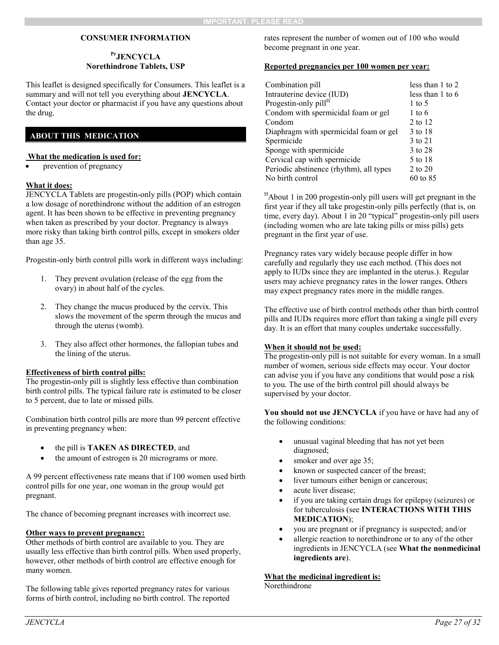#### **CONSUMER INFORMATION**

#### **PrJENCYCLA Norethindrone Tablets, USP**

This leaflet is designed specifically for Consumers. This leaflet is a summary and will not tell you everything about **JENCYCLA**. Contact your doctor or pharmacist if you have any questions about the drug.

### **ABOUT THIS MEDICATION**

#### **What the medication is used for:**

prevention of pregnancy

#### **What it does:**

JENCYCLA Tablets are progestin-only pills (POP) which contain a low dosage of norethindrone without the addition of an estrogen agent. It has been shown to be effective in preventing pregnancy when taken as prescribed by your doctor. Pregnancy is always more risky than taking birth control pills, except in smokers older than age 35.

Progestin-only birth control pills work in different ways including:

- 1. They prevent ovulation (release of the egg from the ovary) in about half of the cycles.
- 2. They change the mucus produced by the cervix. This slows the movement of the sperm through the mucus and through the uterus (womb).
- 3. They also affect other hormones, the fallopian tubes and the lining of the uterus.

#### **Effectiveness of birth control pills:**

The progestin-only pill is slightly less effective than combination birth control pills. The typical failure rate is estimated to be closer to 5 percent, due to late or missed pills.

Combination birth control pills are more than 99 percent effective in preventing pregnancy when:

- the pill is **TAKEN AS DIRECTED**, and
- the amount of estrogen is 20 micrograms or more.

A 99 percent effectiveness rate means that if 100 women used birth control pills for one year, one woman in the group would get pregnant.

The chance of becoming pregnant increases with incorrect use.

#### **Other ways to prevent pregnancy:**

Other methods of birth control are available to you. They are usually less effective than birth control pills. When used properly, however, other methods of birth control are effective enough for many women.

The following table gives reported pregnancy rates for various forms of birth control, including no birth control. The reported rates represent the number of women out of 100 who would become pregnant in one year.

#### **Reported pregnancies per 100 women per year:**

| Combination pill                        | less than 1 to 2 |
|-----------------------------------------|------------------|
| Intrauterine device (IUD)               | less than 1 to 6 |
| Progestin-only pill <sup>H</sup>        | $1$ to 5         |
| Condom with spermicidal foam or gel     | $1$ to 6         |
| Condom                                  | 2 to 12          |
| Diaphragm with spermicidal foam or gel  | 3 to 18          |
| Spermicide                              | 3 to 21          |
| Sponge with spermicide                  | 3 to 28          |
| Cervical cap with spermicide            | 5 to 18          |
| Periodic abstinence (rhythm), all types | 2 to 20          |
| No birth control                        | 60 to 85         |

 $H$ About 1 in 200 progestin-only pill users will get pregnant in the first year if they all take progestin-only pills perfectly (that is, on time, every day). About 1 in 20 "typical" progestin-only pill users (including women who are late taking pills or miss pills) gets pregnant in the first year of use.

Pregnancy rates vary widely because people differ in how carefully and regularly they use each method. (This does not apply to IUDs since they are implanted in the uterus.). Regular users may achieve pregnancy rates in the lower ranges. Others may expect pregnancy rates more in the middle ranges.

The effective use of birth control methods other than birth control pills and IUDs requires more effort than taking a single pill every day. It is an effort that many couples undertake successfully.

#### **When it should not be used:**

The progestin-only pill is not suitable for every woman. In a small number of women, serious side effects may occur. Your doctor can advise you if you have any conditions that would pose a risk to you. The use of the birth control pill should always be supervised by your doctor.

**You should not use JENCYCLA** if you have or have had any of the following conditions:

- unusual vaginal bleeding that has not yet been diagnosed;
- smoker and over age 35;
- known or suspected cancer of the breast;
- liver tumours either benign or cancerous;
- acute liver disease;
- if you are taking certain drugs for epilepsy (seizures) or for tuberculosis (see **INTERACTIONS WITH THIS MEDICATION**);
- you are pregnant or if pregnancy is suspected; and/or
- allergic reaction to norethindrone or to any of the other ingredients in JENCYCLA (see **What the nonmedicinal ingredients are**).

**What the medicinal ingredient is:**

Norethindrone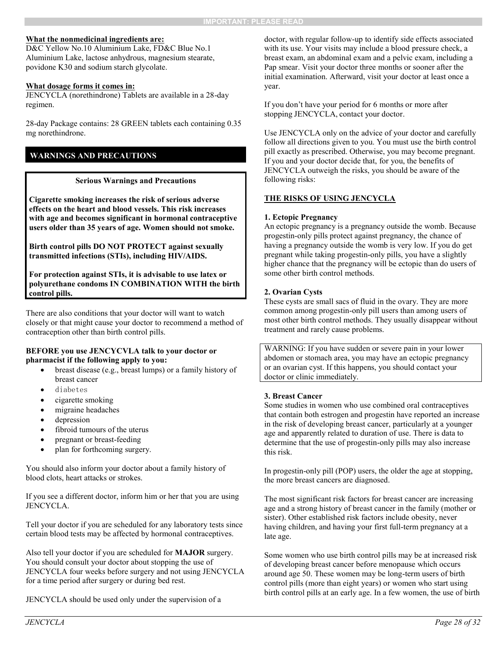#### **What the nonmedicinal ingredients are:**

D&C Yellow No.10 Aluminium Lake, FD&C Blue No.1 Aluminium Lake, lactose anhydrous, magnesium stearate, povidone K30 and sodium starch glycolate.

#### **What dosage forms it comes in:**

JENCYCLA (norethindrone) Tablets are available in a 28-day regimen.

28-day Package contains: 28 GREEN tablets each containing 0.35 mg norethindrone.

#### **WARNINGS AND PRECAUTIONS**

#### **Serious Warnings and Precautions**

**Cigarette smoking increases the risk of serious adverse effects on the heart and blood vessels. This risk increases with age and becomes significant in hormonal contraceptive users older than 35 years of age. Women should not smoke.**

**Birth control pills DO NOT PROTECT against sexually transmitted infections (STIs), including HIV/AIDS.**

**For protection against STIs, it is advisable to use latex or polyurethane condoms IN COMBINATION WITH the birth control pills.**

There are also conditions that your doctor will want to watch closely or that might cause your doctor to recommend a method of contraception other than birth control pills.

#### **BEFORE you use JENCYCVLA talk to your doctor or pharmacist if the following apply to you:**

- breast disease (e.g., breast lumps) or a family history of breast cancer
- diabetes
- cigarette smoking
- migraine headaches
- depression
- fibroid tumours of the uterus
- pregnant or breast-feeding
- plan for forthcoming surgery.

You should also inform your doctor about a family history of blood clots, heart attacks or strokes.

If you see a different doctor, inform him or her that you are using JENCYCLA.

Tell your doctor if you are scheduled for any laboratory tests since certain blood tests may be affected by hormonal contraceptives.

Also tell your doctor if you are scheduled for **MAJOR** surgery. You should consult your doctor about stopping the use of JENCYCLA four weeks before surgery and not using JENCYCLA for a time period after surgery or during bed rest.

JENCYCLA should be used only under the supervision of a

doctor, with regular follow-up to identify side effects associated with its use. Your visits may include a blood pressure check, a breast exam, an abdominal exam and a pelvic exam, including a Pap smear. Visit your doctor three months or sooner after the initial examination. Afterward, visit your doctor at least once a year.

If you don't have your period for 6 months or more after stopping JENCYCLA, contact your doctor.

Use JENCYCLA only on the advice of your doctor and carefully follow all directions given to you. You must use the birth control pill exactly as prescribed. Otherwise, you may become pregnant. If you and your doctor decide that, for you, the benefits of JENCYCLA outweigh the risks, you should be aware of the following risks:

#### **THE RISKS OF USING JENCYCLA**

#### **1. Ectopic Pregnancy**

An ectopic pregnancy is a pregnancy outside the womb. Because progestin-only pills protect against pregnancy, the chance of having a pregnancy outside the womb is very low. If you do get pregnant while taking progestin-only pills, you have a slightly higher chance that the pregnancy will be ectopic than do users of some other birth control methods.

#### **2. Ovarian Cysts**

These cysts are small sacs of fluid in the ovary. They are more common among progestin-only pill users than among users of most other birth control methods. They usually disappear without treatment and rarely cause problems.

WARNING: If you have sudden or severe pain in your lower abdomen or stomach area, you may have an ectopic pregnancy or an ovarian cyst. If this happens, you should contact your doctor or clinic immediately.

#### **3. Breast Cancer**

Some studies in women who use combined oral contraceptives that contain both estrogen and progestin have reported an increase in the risk of developing breast cancer, particularly at a younger age and apparently related to duration of use. There is data to determine that the use of progestin-only pills may also increase this risk.

In progestin-only pill (POP) users, the older the age at stopping, the more breast cancers are diagnosed.

The most significant risk factors for breast cancer are increasing age and a strong history of breast cancer in the family (mother or sister). Other established risk factors include obesity, never having children, and having your first full-term pregnancy at a late age.

Some women who use birth control pills may be at increased risk of developing breast cancer before menopause which occurs around age 50. These women may be long-term users of birth control pills (more than eight years) or women who start using birth control pills at an early age. In a few women, the use of birth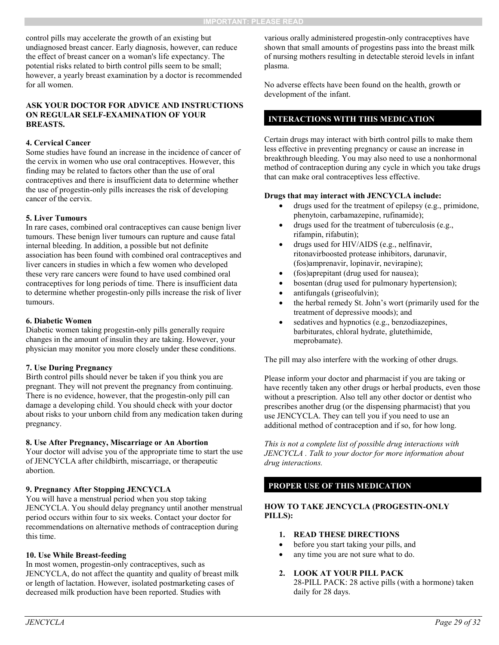control pills may accelerate the growth of an existing but undiagnosed breast cancer. Early diagnosis, however, can reduce the effect of breast cancer on a woman's life expectancy. The potential risks related to birth control pills seem to be small; however, a yearly breast examination by a doctor is recommended for all women.

#### **ASK YOUR DOCTOR FOR ADVICE AND INSTRUCTIONS ON REGULAR SELF-EXAMINATION OF YOUR BREASTS.**

#### **4. Cervical Cancer**

Some studies have found an increase in the incidence of cancer of the cervix in women who use oral contraceptives. However, this finding may be related to factors other than the use of oral contraceptives and there is insufficient data to determine whether the use of progestin-only pills increases the risk of developing cancer of the cervix.

#### **5. Liver Tumours**

In rare cases, combined oral contraceptives can cause benign liver tumours. These benign liver tumours can rupture and cause fatal internal bleeding. In addition, a possible but not definite association has been found with combined oral contraceptives and liver cancers in studies in which a few women who developed these very rare cancers were found to have used combined oral contraceptives for long periods of time. There is insufficient data to determine whether progestin-only pills increase the risk of liver tumours.

#### **6. Diabetic Women**

Diabetic women taking progestin-only pills generally require changes in the amount of insulin they are taking. However, your physician may monitor you more closely under these conditions.

#### **7. Use During Pregnancy**

Birth control pills should never be taken if you think you are pregnant. They will not prevent the pregnancy from continuing. There is no evidence, however, that the progestin-only pill can damage a developing child. You should check with your doctor about risks to your unborn child from any medication taken during pregnancy.

#### **8. Use After Pregnancy, Miscarriage or An Abortion**

Your doctor will advise you of the appropriate time to start the use of JENCYCLA after childbirth, miscarriage, or therapeutic abortion.

#### **9. Pregnancy After Stopping JENCYCLA**

You will have a menstrual period when you stop taking JENCYCLA. You should delay pregnancy until another menstrual period occurs within four to six weeks. Contact your doctor for recommendations on alternative methods of contraception during this time.

#### **10. Use While Breast-feeding**

In most women, progestin-only contraceptives, such as JENCYCLA, do not affect the quantity and quality of breast milk or length of lactation. However, isolated postmarketing cases of decreased milk production have been reported. Studies with

various orally administered progestin-only contraceptives have shown that small amounts of progestins pass into the breast milk of nursing mothers resulting in detectable steroid levels in infant plasma.

No adverse effects have been found on the health, growth or development of the infant.

### **INTERACTIONS WITH THIS MEDICATION**

Certain drugs may interact with birth control pills to make them less effective in preventing pregnancy or cause an increase in breakthrough bleeding. You may also need to use a nonhormonal method of contraception during any cycle in which you take drugs that can make oral contraceptives less effective.

#### **Drugs that may interact with JENCYCLA include:**

- drugs used for the treatment of epilepsy (e.g., primidone, phenytoin, carbamazepine, rufinamide);
- drugs used for the treatment of tuberculosis (e.g., rifampin, rifabutin);
- drugs used for HIV/AIDS (e.g., nelfinavir, ritonavirboosted protease inhibitors, darunavir, (fos)amprenavir, lopinavir, nevirapine);
- (fos)aprepitant (drug used for nausea);
- bosentan (drug used for pulmonary hypertension);
- antifungals (griseofulvin);
- the herbal remedy St. John's wort (primarily used for the treatment of depressive moods); and
- sedatives and hypnotics (e.g., benzodiazepines, barbiturates, chloral hydrate, glutethimide, meprobamate).

The pill may also interfere with the working of other drugs.

Please inform your doctor and pharmacist if you are taking or have recently taken any other drugs or herbal products, even those without a prescription. Also tell any other doctor or dentist who prescribes another drug (or the dispensing pharmacist) that you use JENCYCLA. They can tell you if you need to use an additional method of contraception and if so, for how long.

*This is not a complete list of possible drug interactions with JENCYCLA . Talk to your doctor for more information about drug interactions.*

#### **PROPER USE OF THIS MEDICATION**

#### **HOW TO TAKE JENCYCLA (PROGESTIN-ONLY PILLS):**

- **1. READ THESE DIRECTIONS**
- before you start taking your pills, and
- any time you are not sure what to do.

#### **2. LOOK AT YOUR PILL PACK**

28-PILL PACK: 28 active pills (with a hormone) taken daily for 28 days.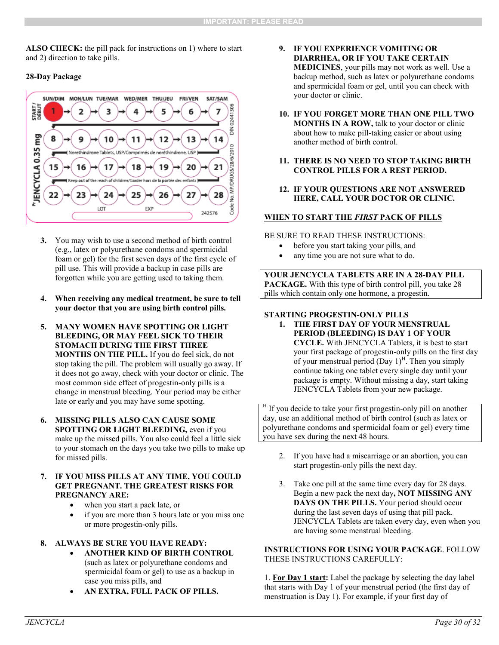**ALSO CHECK:** the pill pack for instructions on 1) where to start and 2) direction to take pills.

#### **28-Day Package**



- **3.** You may wish to use a second method of birth control (e.g., latex or polyurethane condoms and spermicidal foam or gel) for the first seven days of the first cycle of pill use. This will provide a backup in case pills are forgotten while you are getting used to taking them.
- **4. When receiving any medical treatment, be sure to tell your doctor that you are using birth control pills.**
- **5. MANY WOMEN HAVE SPOTTING OR LIGHT BLEEDING, OR MAY FEEL SICK TO THEIR STOMACH DURING THE FIRST THREE MONTHS ON THE PILL.** If you do feel sick, do not stop taking the pill. The problem will usually go away. If it does not go away, check with your doctor or clinic. The most common side effect of progestin-only pills is a change in menstrual bleeding. Your period may be either late or early and you may have some spotting.
- **6. MISSING PILLS ALSO CAN CAUSE SOME SPOTTING OR LIGHT BLEEDING,** even if you make up the missed pills. You also could feel a little sick to your stomach on the days you take two pills to make up for missed pills.
- **7. IF YOU MISS PILLS AT ANY TIME, YOU COULD GET PREGNANT. THE GREATEST RISKS FOR PREGNANCY ARE:**
	- when you start a pack late, or
	- if you are more than 3 hours late or you miss one or more progestin-only pills.

#### **8. ALWAYS BE SURE YOU HAVE READY:**

- **ANOTHER KIND OF BIRTH CONTROL** (such as latex or polyurethane condoms and spermicidal foam or gel) to use as a backup in case you miss pills, and
- **AN EXTRA, FULL PACK OF PILLS.**
- **9. IF YOU EXPERIENCE VOMITING OR DIARRHEA, OR IF YOU TAKE CERTAIN MEDICINES**, your pills may not work as well. Use a backup method, such as latex or polyurethane condoms and spermicidal foam or gel, until you can check with your doctor or clinic.
- **10. IF YOU FORGET MORE THAN ONE PILL TWO MONTHS IN A ROW,** talk to your doctor or clinic about how to make pill-taking easier or about using another method of birth control.
- **11. THERE IS NO NEED TO STOP TAKING BIRTH CONTROL PILLS FOR A REST PERIOD.**
- **12. IF YOUR QUESTIONS ARE NOT ANSWERED HERE, CALL YOUR DOCTOR OR CLINIC.**

#### **WHEN TO START THE** *FIRST* **PACK OF PILLS**

BE SURE TO READ THESE INSTRUCTIONS:

- before you start taking your pills, and
- any time you are not sure what to do.

**YOUR JENCYCLA TABLETS ARE IN A 28-DAY PILL PACKAGE.** With this type of birth control pill, you take 28 pills which contain only one hormone, a progestin.

#### **STARTING PROGESTIN-ONLY PILLS**

**1. THE FIRST DAY OF YOUR MENSTRUAL PERIOD (BLEEDING) IS DAY 1 OF YOUR CYCLE.** With JENCYCLA Tablets, it is best to start your first package of progestin-only pills on the first day of your menstrual period  $(Day 1)^{H}$ . Then you simply continue taking one tablet every single day until your package is empty. Without missing a day, start taking JENCYCLA Tablets from your new package.

<sup>H</sup> If you decide to take your first progestin-only pill on another day, use an additional method of birth control (such as latex or polyurethane condoms and spermicidal foam or gel) every time you have sex during the next 48 hours.

- 2. If you have had a miscarriage or an abortion, you can start progestin-only pills the next day.
- 3. Take one pill at the same time every day for 28 days. Begin a new pack the next day**, NOT MISSING ANY DAYS ON THE PILLS.** Your period should occur during the last seven days of using that pill pack. JENCYCLA Tablets are taken every day, even when you are having some menstrual bleeding.

#### **INSTRUCTIONS FOR USING YOUR PACKAGE**. FOLLOW THESE INSTRUCTIONS CAREFULLY:

1. **For Day 1 start:** Label the package by selecting the day label that starts with Day 1 of your menstrual period (the first day of menstruation is Day 1). For example, if your first day of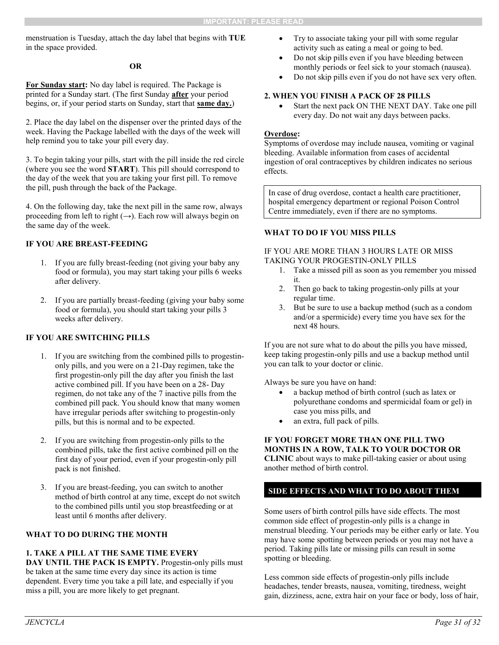menstruation is Tuesday, attach the day label that begins with **TUE**  in the space provided.

#### **OR**

**For Sunday start:** No day label is required. The Package is printed for a Sunday start. (The first Sunday **after** your period begins, or, if your period starts on Sunday, start that **same day.**)

2. Place the day label on the dispenser over the printed days of the week. Having the Package labelled with the days of the week will help remind you to take your pill every day.

3. To begin taking your pills, start with the pill inside the red circle (where you see the word **START**). This pill should correspond to the day of the week that you are taking your first pill. To remove the pill, push through the back of the Package.

4. On the following day, take the next pill in the same row, always proceeding from left to right  $(\rightarrow)$ . Each row will always begin on the same day of the week.

#### **IF YOU ARE BREAST-FEEDING**

- 1. If you are fully breast-feeding (not giving your baby any food or formula), you may start taking your pills 6 weeks after delivery.
- 2. If you are partially breast-feeding (giving your baby some food or formula), you should start taking your pills 3 weeks after delivery.

#### **IF YOU ARE SWITCHING PILLS**

- 1. If you are switching from the combined pills to progestinonly pills, and you were on a 21-Day regimen, take the first progestin-only pill the day after you finish the last active combined pill. If you have been on a 28- Day regimen, do not take any of the 7 inactive pills from the combined pill pack. You should know that many women have irregular periods after switching to progestin-only pills, but this is normal and to be expected.
- 2. If you are switching from progestin-only pills to the combined pills, take the first active combined pill on the first day of your period, even if your progestin-only pill pack is not finished.
- 3. If you are breast-feeding, you can switch to another method of birth control at any time, except do not switch to the combined pills until you stop breastfeeding or at least until 6 months after delivery.

#### **WHAT TO DO DURING THE MONTH**

#### **1. TAKE A PILL AT THE SAME TIME EVERY**

DAY UNTIL THE PACK IS EMPTY. Progestin-only pills must be taken at the same time every day since its action is time dependent. Every time you take a pill late, and especially if you miss a pill, you are more likely to get pregnant.

- Try to associate taking your pill with some regular activity such as eating a meal or going to bed.
- Do not skip pills even if you have bleeding between monthly periods or feel sick to your stomach (nausea).
- Do not skip pills even if you do not have sex very often.

#### **2. WHEN YOU FINISH A PACK OF 28 PILLS**

 Start the next pack ON THE NEXT DAY. Take one pill every day. Do not wait any days between packs.

#### **Overdose:**

Symptoms of overdose may include nausea, vomiting or vaginal bleeding. Available information from cases of accidental ingestion of oral contraceptives by children indicates no serious effects.

In case of drug overdose, contact a health care practitioner, hospital emergency department or regional Poison Control Centre immediately, even if there are no symptoms.

#### **WHAT TO DO IF YOU MISS PILLS**

#### IF YOU ARE MORE THAN 3 HOURS LATE OR MISS TAKING YOUR PROGESTIN-ONLY PILLS

- 1. Take a missed pill as soon as you remember you missed it.
- 2. Then go back to taking progestin-only pills at your regular time.
- 3. But be sure to use a backup method (such as a condom and/or a spermicide) every time you have sex for the next 48 hours.

If you are not sure what to do about the pills you have missed, keep taking progestin-only pills and use a backup method until you can talk to your doctor or clinic.

Always be sure you have on hand:

- a backup method of birth control (such as latex or polyurethane condoms and spermicidal foam or gel) in case you miss pills, and
- an extra, full pack of pills.

#### **IF YOU FORGET MORE THAN ONE PILL TWO MONTHS IN A ROW, TALK TO YOUR DOCTOR OR**

**CLINIC** about ways to make pill-taking easier or about using another method of birth control.

### **SIDE EFFECTS AND WHAT TO DO ABOUT THEM**

Some users of birth control pills have side effects. The most common side effect of progestin-only pills is a change in menstrual bleeding. Your periods may be either early or late. You may have some spotting between periods or you may not have a period. Taking pills late or missing pills can result in some spotting or bleeding.

Less common side effects of progestin-only pills include headaches, tender breasts, nausea, vomiting, tiredness, weight gain, dizziness, acne, extra hair on your face or body, loss of hair,